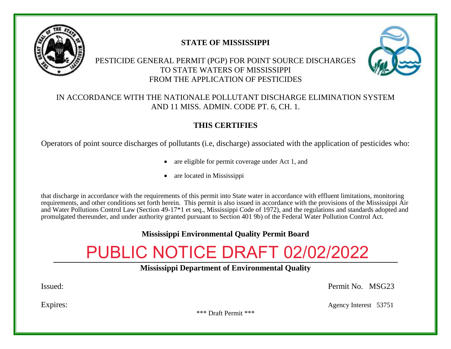

# **STATE OF MISSISSIPPI**

# PESTICIDE GENERAL PERMIT (PGP) FOR POINT SOURCE DISCHARGES TO STATE WATERS OF MISSISSIPPI FROM THE APPLICATION OF PESTICIDES



# IN ACCORDANCE WITH THE NATIONALE POLLUTANT DISCHARGE ELIMINATION SYSTEM AND 11 MISS. ADMIN. CODE PT. 6, CH. 1.

# **THIS CERTIFIES**

Operators of point source discharges of pollutants (i.e, discharge) associated with the application of pesticides who:

- are eligible for permit coverage under Act 1, and
- are located in Mississippi

that discharge in accordance with the requirements of this permit into State water in accordance with effluent limitations, monitoring requirements, and other conditions set forth herein. This permit is also issued in accordance with the provisions of the Mississippi Air and Water Pollutions Control Law (Section 49-17\*1 et seq., Mississippi Code of 1972), and the regulations and standards adopted and promulgated thereunder, and under authority granted pursuant to Section 401 9b) of the Federal Water Pollution Control Act.

# **Mississippi Environmental Quality Permit Board**

# PUBLIC NOTICE DRAFT 02/02/2022

**Mississippi Department of Environmental Quality**

Issued: Permit No. MSG23

Expires: Agency Interest 53751

\*\*\* Draft Permit \*\*\*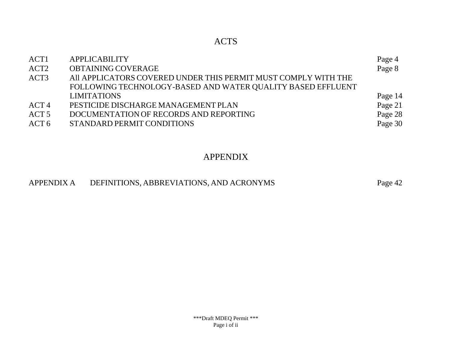# ACTS

| ACT <sub>1</sub> | <b>APPLICABILITY</b>                                           | Page 4  |
|------------------|----------------------------------------------------------------|---------|
| ACT <sub>2</sub> | OBTAINING COVERAGE                                             | Page 8  |
| ACT <sub>3</sub> | All APPLICATORS COVERED UNDER THIS PERMIT MUST COMPLY WITH THE |         |
|                  | FOLLOWING TECHNOLOGY-BASED AND WATER QUALITY BASED EFFLUENT    |         |
|                  | <b>LIMITATIONS</b>                                             | Page 14 |
| ACT <sub>4</sub> | PESTICIDE DISCHARGE MANAGEMENT PLAN                            | Page 21 |
| ACT <sub>5</sub> | DOCUMENTATION OF RECORDS AND REPORTING                         | Page 28 |
| ACT 6            | STANDARD PERMIT CONDITIONS                                     | Page 30 |
|                  |                                                                |         |

# APPENDIX

# APPENDIX A DEFINITIONS, ABBREVIATIONS, AND ACRONYMS Page 42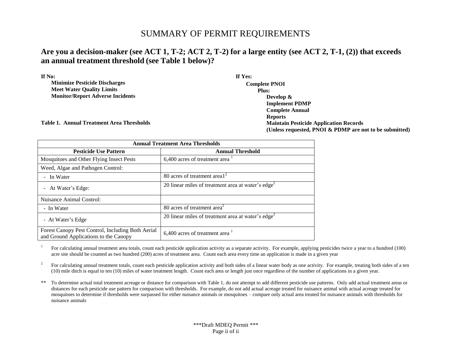# SUMMARY OF PERMIT REQUIREMENTS

# Are you a decision-maker (see ACT 1, T-2; ACT 2, T-2) for a large entity (see ACT 2, T-1, (2)) that exceeds **an annual treatment threshold (see Table 1 below)?**

| If No:                                           | If Yes:                                                 |
|--------------------------------------------------|---------------------------------------------------------|
| <b>Minimize Pesticide Discharges</b>             | <b>Complete PNOI</b>                                    |
| <b>Meet Water Quality Limits</b>                 | Plus:                                                   |
| <b>Monitor/Report Adverse Incidents</b>          | Develop $\&$                                            |
|                                                  | <b>Implement PDMP</b>                                   |
|                                                  | <b>Complete Annual</b>                                  |
|                                                  | <b>Reports</b>                                          |
| <b>Table 1. Annual Treatment Area Thresholds</b> | <b>Maintain Pesticide Application Records</b>           |
|                                                  | (Unless requested, PNOI & PDMP are not to be submitted) |

| <b>Annual Treatment Area Thresholds</b>                                                    |                                                                |  |  |  |
|--------------------------------------------------------------------------------------------|----------------------------------------------------------------|--|--|--|
| <b>Pesticide Use Pattern</b>                                                               | <b>Annual Threshold</b>                                        |  |  |  |
| Mosquitoes and Other Flying Insect Pests                                                   | $6,400$ acres of treatment area $\frac{1}{1}$                  |  |  |  |
| Weed, Algae and Pathogen Control:                                                          |                                                                |  |  |  |
| - In Water                                                                                 | 80 acres of treatment area $1^2$                               |  |  |  |
| - At Water's Edge:                                                                         | 20 linear miles of treatment area at water's $edge2$           |  |  |  |
| Nuisance Animal Control:                                                                   |                                                                |  |  |  |
| - In Water                                                                                 | 80 acres of treatment area <sup>2</sup>                        |  |  |  |
| - At Water's Edge                                                                          | 20 linear miles of treatment area at water's edge <sup>2</sup> |  |  |  |
| Forest Canopy Pest Control, Including Both Aerial<br>and Ground Applications to the Canopy | 6,400 acres of treatment area $1$                              |  |  |  |

1 For calculating annual treatment area totals, count each pesticide application activity as a separate activity. For example, applying pesticides twice a year to a hundred (100) acre site should be counted as two hundred (200) acres of treatment area. Count each area every time an application is made in a given year

2 For calculating annual treatment totals, count each pesticide application activity and both sides of a linear water body as one activity. For example, treating both sides of a ten (10) mile ditch is equal to ten (10) miles of water treatment length. Count each area or length just once regardless of the number of applications in a given year.

\*\* To determine actual total treatment acreage or distance for comparison with Table 1, do not attempt to add different pesticide use patterns. Only add actual treatment areas or distances for each pesticide use pattern for comparison with thresholds. For example, do not add actual acreage treated for nuisance animal with actual acreage treated for mosquitoes to determine if thresholds were surpassed for either nuisance animals or mosquitoes – compare only actual area treated for nuisance animals with thresholds for nuisance animals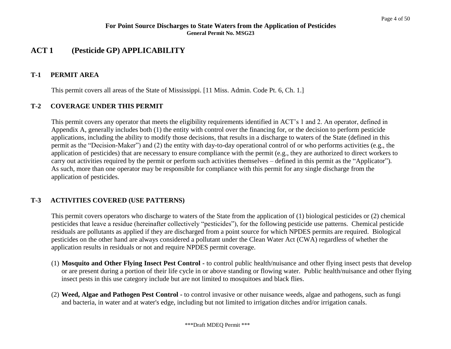# **ACT 1 (Pesticide GP) APPLICABILITY**

#### **T-1 PERMIT AREA**

This permit covers all areas of the State of Mississippi. [11 Miss. Admin. Code Pt. 6, Ch. 1.]

# **T-2 COVERAGE UNDER THIS PERMIT**

This permit covers any operator that meets the eligibility requirements identified in ACT's 1 and 2. An operator, defined in Appendix A, generally includes both (1) the entity with control over the financing for, or the decision to perform pesticide applications, including the ability to modify those decisions, that results in a discharge to waters of the State (defined in this permit as the "Decision-Maker") and (2) the entity with day-to-day operational control of or who performs activities (e.g., the application of pesticides) that are necessary to ensure compliance with the permit (e.g., they are authorized to direct workers to carry out activities required by the permit or perform such activities themselves – defined in this permit as the "Applicator"). As such, more than one operator may be responsible for compliance with this permit for any single discharge from the application of pesticides.

# **T-3 ACTIVITIES COVERED (USE PATTERNS)**

This permit covers operators who discharge to waters of the State from the application of (1) biological pesticides or (2) chemical pesticides that leave a residue (hereinafter collectively "pesticides"), for the following pesticide use patterns. Chemical pesticide residuals are pollutants as applied if they are discharged from a point source for which NPDES permits are required. Biological pesticides on the other hand are always considered a pollutant under the Clean Water Act (CWA) regardless of whether the application results in residuals or not and require NPDES permit coverage.

- (1) **Mosquito and Other Flying Insect Pest Control -** to control public health/nuisance and other flying insect pests that develop or are present during a portion of their life cycle in or above standing or flowing water. Public health/nuisance and other flying insect pests in this use category include but are not limited to mosquitoes and black flies.
- (2) **Weed, Algae and Pathogen Pest Control -** to control invasive or other nuisance weeds, algae and pathogens, such as fungi and bacteria, in water and at water's edge, including but not limited to irrigation ditches and/or irrigation canals.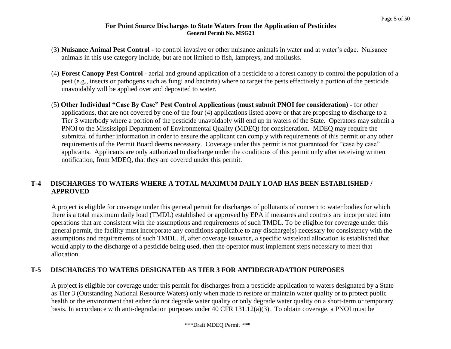- (3) **Nuisance Animal Pest Control -** to control invasive or other nuisance animals in water and at water's edge. Nuisance animals in this use category include, but are not limited to fish, lampreys, and mollusks.
- (4) **Forest Canopy Pest Control**  aerial and ground application of a pesticide to a forest canopy to control the population of a pest (e.g., insects or pathogens such as fungi and bacteria) where to target the pests effectively a portion of the pesticide unavoidably will be applied over and deposited to water.
- (5) **Other Individual "Case By Case" Pest Control Applications (must submit PNOI for consideration) -** for other applications, that are not covered by one of the four (4) applications listed above or that are proposing to discharge to a Tier 3 waterbody where a portion of the pesticide unavoidably will end up in waters of the State. Operators may submit a PNOI to the Mississippi Department of Environmental Quality (MDEQ) for consideration. MDEQ may require the submittal of further information in order to ensure the applicant can comply with requirements of this permit or any other requirements of the Permit Board deems necessary.Coverage under this permit is not guaranteed for "case by case" applicants. Applicants are only authorized to discharge under the conditions of this permit only after receiving written notification, from MDEQ, that they are covered under this permit.

# **T-4 DISCHARGES TO WATERS WHERE A TOTAL MAXIMUM DAILY LOAD HAS BEEN ESTABLISHED / APPROVED**

A project is eligible for coverage under this general permit for discharges of pollutants of concern to water bodies for which there is a total maximum daily load (TMDL) established or approved by EPA if measures and controls are incorporated into operations that are consistent with the assumptions and requirements of such TMDL. To be eligible for coverage under this general permit, the facility must incorporate any conditions applicable to any discharge(s) necessary for consistency with the assumptions and requirements of such TMDL. If, after coverage issuance, a specific wasteload allocation is established that would apply to the discharge of a pesticide being used, then the operator must implement steps necessary to meet that allocation.

# **T-5 DISCHARGES TO WATERS DESIGNATED AS TIER 3 FOR ANTIDEGRADATION PURPOSES**

A project is eligible for coverage under this permit for discharges from a pesticide application to waters designated by a State as Tier 3 (Outstanding National Resource Waters) only when made to restore or maintain water quality or to protect public health or the environment that either do not degrade water quality or only degrade water quality on a short-term or temporary basis. In accordance with anti-degradation purposes under 40 CFR 131.12(a)(3). To obtain coverage, a PNOI must be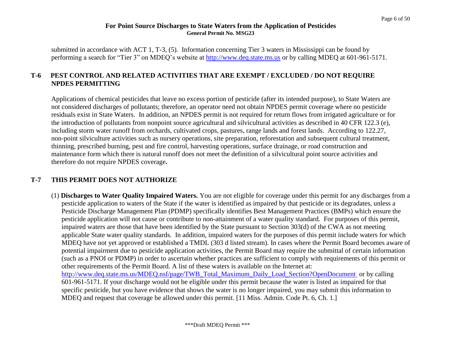submitted in accordance with ACT 1, T-3, (5). Information concerning Tier 3 waters in Mississippi can be found by performing a search for "Tier 3" on MDEQ's website at [http://www.deq.state.ms.us](http://www.deq.state.ms.us/) or by calling MDEQ at 601-961-5171.

# **T-6 PEST CONTROL AND RELATED ACTIVITIES THAT ARE EXEMPT / EXCLUDED / DO NOT REQUIR[E](http://www.deq.state.ms.us/) [NPDES](http://www.deq.state.ms.us/) PERMITTING**

Applications of chemical pesticides that leave no excess portion of pesticide (after its intended purpose), to State Waters are not considered discharges of pollutants; therefore, an operator need not obtain NPDES permit coverage where no pesticide residuals exist in State Waters. In addition, an NPDES permit is not required for return flows from irrigated agriculture or for the introduction of pollutants from nonpoint source agricultural and silvicultural activities as described in 40 CFR 122.3 (e), including storm water runoff from orchards, cultivated crops, pastures, range lands and forest lands. According to 122.27, non-point silviculture activities such as nursery operations, site preparation, reforestation and subsequent cultural treatment, thinning, prescribed burning, pest and fire control, harvesting operations, surface drainage, or road construction and maintenance form which there is natural runoff does not meet the definition of a silvicultural point source activities and therefore do not require NPDES coverage**.**

# **T-7 THIS PERMIT DOES NOT AUTHORIZE**

(1) **Discharges to Water Quality Impaired Waters.** You are not eligible for coverage under this permit for any discharges from a pesticide application to waters of the State if the water is identified as impaired by that pesticide or its degradates, unless a Pesticide Discharge Management Plan (PDMP) specifically identifies Best Management Practices (BMPs) which ensure the pesticide application will not cause or contribute to non-attainment of a water quality standard. For purposes of this permit, impaired waters are those that have been identified by the State pursuant to Section 303(d) of the CWA as not meeting applicable State water quality standards. In addition, impaired waters for the purposes of this permit include waters for which MDEQ have not yet approved or established a TMDL (303 d listed stream). In cases where the Permit Board becomes aware of potential impairment due to pesticide application activities, the Permit Board may require the submittal of certain information (such as a PNOI or PDMP) in order to ascertain whether practices are sufficient to comply with requirements of this permit or other requirements of the Permit Board. A list of these waters is available on the Internet at: [http://www.deq.state.ms.us/MDEQ.nsf/page/TWB\\_Total\\_Maximum\\_Daily\\_Load\\_Section?OpenDocument](http://www.deq.state.ms.us/MDEQ.nsf/page/TWB_Total_Maximum_Daily_Load_Section?OpenDocument) or by calling 601**-**961-5171. If your discharge would not be eligible under this permit because the water is listed as impaired for that specific pesticide, but you have evidence that shows the water is no longer impaired, you may submit this information to MDEQ and request that coverage be allowed under this permit. [11 Miss. Admin. Code Pt. 6, Ch. 1.]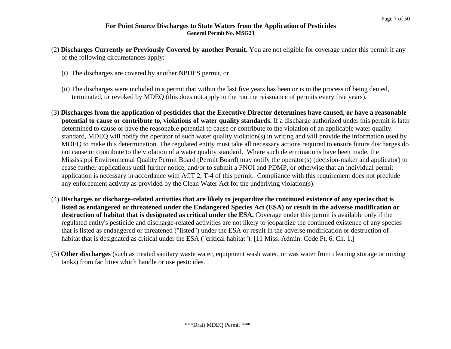- (2) **Discharges Currently or Previously Covered by another Permit.** You are not eligible for coverage under this permit if any of the following circumstances apply:
	- (i) The discharges are covered by another NPDES permit, or
	- (ii) The discharges were included in a permit that within the last five years has been or is in the process of being denied, terminated, or revoked by MDEQ (this does not apply to the routine reissuance of permits every five years).
- (3) **Discharges from the application of pesticides that the Executive Director determines have caused, or have a reasonable potential to cause or contribute to, violations of water quality standards.** If a discharge authorized under this permit is later determined to cause or have the reasonable potential to cause or contribute to the violation of an applicable water quality standard, MDEQ will notify the operator of such water quality violation(s) in writing and will provide the information used by MDEQ to make this determination. The regulated entity must take all necessary actions required to ensure future discharges do not cause or contribute to the violation of a water quality standard. Where such determinations have been made, the Mississippi Environmental Quality Permit Board (Permit Board) may notify the operator(s) (decision-maker and applicator) to cease further applications until further notice, and/or to submit a PNOI and PDMP, or otherwise that an individual permit application is necessary in accordance with ACT 2, T-4 of this permit.Compliance with this requirement does not preclude any enforcement activity as provided by the Clean Water Act for the underlying violation(s).
- (4) **Discharges or discharge-related activities that are likely to jeopardize the continued existence of any species that is listed as endangered or threatened under the Endangered Species Act (ESA) or result in the adverse modification or destruction of habitat that is designated as critical under the ESA.** Coverage under this permit is available only if the regulated entity's pesticide and discharge-related activities are not likely to jeopardize the continued existence of any species that is listed as endangered or threatened ("listed") under the ESA or result in the adverse modification or destruction of habitat that is designated as critical under the ESA ("critical habitat"). [11 Miss. Admin. Code Pt. 6, Ch. 1.]
- (5) **Other discharges** (such as treated sanitary waste water, equipment wash water, or was water from cleaning storage or mixing tanks) from facilities which handle or use pesticides.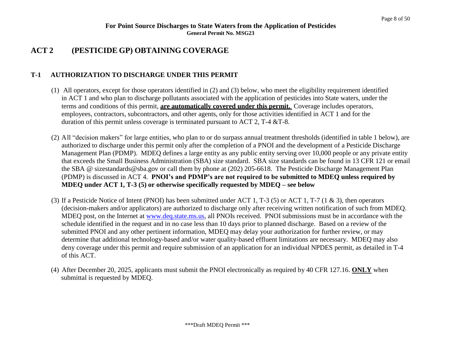# **ACT 2 (PESTICIDE GP) OBTAINING COVERAGE**

# **T-1 AUTHORIZATION TO DISCHARGE UNDER THIS PERMIT**

- (1) All operators, except for those operators identified in (2) and (3) below, who meet the eligibility requirement identified in ACT 1 and who plan to discharge pollutants associated with the application of pesticides into State waters, under the terms and conditions of this permit, **are automatically covered under this permit.** Coverage includes operators, employees, contractors, subcontractors, and other agents, only for those activities identified in ACT 1 and for the duration of this permit unless coverage is terminated pursuant to ACT 2,  $T-4 \& T-8$ .
- (2) All "decision makers" for large entities, who plan to or do surpass annual treatment thresholds (identified in table 1 below), are authorized to discharge under this permit only after the completion of a PNOI and the development of a Pesticide Discharge Management Plan (PDMP). MDEQ defines a large entity as any public entity serving over 10,000 people or any private entity that exceeds the Small Business Administration (SBA) size standard. SBA size standards can be found in 13 CFR 121 or email the SBA @ sizestandards@sba.gov or call them by phone at (202) 205-6618. The Pesticide Discharge Management Plan (PDMP) is discussed in ACT 4. **PNOI's and PDMP's are not required to be submitted to MDEQ unless required by MDEQ under ACT 1, T-3 (5) or otherwise specifically requested by MDEQ – see below**
- (3) If a Pesticide Notice of Intent (PNOI) has been submitted under ACT 1, T-3 (5) or ACT 1, T-7 (1 & 3), then operators (decision-makers and/or applicators) are authorized to discharge only after receiving written notification of such from MDEQ. MDEQ post, on the Internet at [www.deq.state.ms.us,](http://www.deq.state.ms.us/) all PNOIs received. PNOI submissions must be in accordance with the schedule identified in the request and in no case less than 10 days prior to planned discharge. Based on a review of the submitted PNOI and any other pertinent information, MDEQ may delay your authorization for further review, or may deter[mine that additional technology-based](mailto:sizestandards@sba.gov) and/or water quality-based effluent limitations are necessary. MDEQ may also deny coverage under this permit and require submission of an application for an individual NPDES permit, as detailed in T-4 of this ACT.
- (4) After December 20, 2025, applicants must submit the PNOI electronically as required by 40 CFR 127.16. **ONLY** when submittal is requested by MDEQ.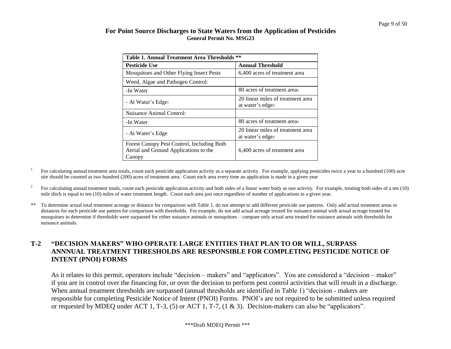| Table 1. Annual Treatment Area Thresholds **                                                  |                                                       |  |  |  |
|-----------------------------------------------------------------------------------------------|-------------------------------------------------------|--|--|--|
| <b>Pesticide Use</b>                                                                          | <b>Annual Threshold</b>                               |  |  |  |
| Mosquitoes and Other Flying Insect Pests                                                      | 6,400 acres of treatment area                         |  |  |  |
| Weed, Algae and Pathogen Control:                                                             |                                                       |  |  |  |
| -In Water                                                                                     | 80 acres of treatment area                            |  |  |  |
| - At Water's Edge:                                                                            | 20 linear miles of treatment area<br>at water's edgez |  |  |  |
| Nuisance Animal Control:                                                                      |                                                       |  |  |  |
| -In Water                                                                                     | 80 acres of treatment area                            |  |  |  |
| - At Water's Edge                                                                             | 20 linear miles of treatment area<br>at water's edgez |  |  |  |
| Forest Canopy Pest Control, Including Both<br>Aerial and Ground Applications to the<br>Canopy | 6,400 acres of treatment area                         |  |  |  |

1 For calculating annual treatment area totals, count each pesticide application activity as a separate activity. For example, applying pesticides twice a year to a hundred (100) acre site should be counted as two hundred (200) acres of treatment area. Count each area every time an application is made in a given year

- 2 For calculating annual treatment totals, count each pesticide application activity and both sides of a linear water body as one activity. For example, treating both sides of a ten (10) mile ditch is equal to ten (10) miles of water treatment length. Count each area just once regardless of number of applications in a given year.
- \*\* To determine actual total treatment acreage or distance for comparison with Table 1, do not attempt to add different pesticide use patterns. Only add actual treatment areas or distances for each pesticide use pattern for comparison with thresholds. For example, do not add actual acreage treated for nuisance animal with actual acreage treated for mosquitoes to determine if thresholds were surpassed for either nuisance animals or mosquitoes – compare only actual area treated for nuisance animals with thresholds for nuisance animals.

## **T-2 "DECISION MAKERS" WHO OPERATE LARGE ENTITIES THAT PLAN TO OR WILL, SURPASS ANNNUAL TREATMENT THRESHOLDS ARE RESPONSIBLE FOR COMPLETING PESTICIDE NOTICE OF INTENT (PNOI) FORMS**

As it relates to this permit, operators include "decision – makers" and "applicators". You are considered a "decision – maker" if you are in control over the financing for, or over the decision to perform pest control activities that will result in a discharge. When annual treatment thresholds are surpassed (annual thresholds are identified in Table 1) "decision - makers are responsible for completing Pesticide Notice of Intent (PNOI) Forms. PNOI's are not required to be submitted unless required or requested by MDEQ under ACT 1, T-3, (5) or ACT 1, T-7, (1 & 3). Decision-makers can also be "applicators".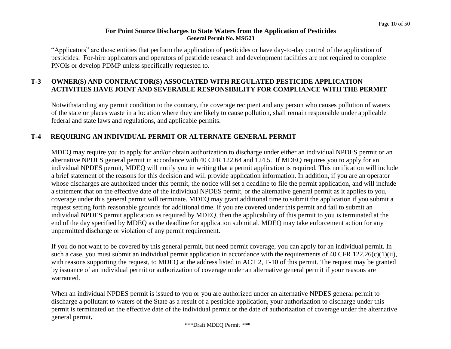"Applicators" are those entities that perform the application of pesticides or have day-to-day control of the application of pesticides. For-hire applicators and operators of pesticide research and development facilities are not required to complete PNOIs or develop PDMP unless specifically requested to.

# **T-3 OWNER(S) AND CONTRACTOR(S) ASSOCIATED WITH REGULATED PESTICIDE APPLICATION ACTIVITIES HAVE JOINT AND SEVERABLE RESPONSIBILITY FOR COMPLIANCE WITH THE PERMIT**

Notwithstanding any permit condition to the contrary, the coverage recipient and any person who causes pollution of waters of the state or places waste in a location where they are likely to cause pollution, shall remain responsible under applicable federal and state laws and regulations, and applicable permits.

# **T-4 REQUIRING AN INDIVIDUAL PERMIT OR ALTERNATE GENERAL PERMIT**

MDEQ may require you to apply for and/or obtain authorization to discharge under either an individual NPDES permit or an alternative NPDES general permit in accordance with 40 CFR 122.64 and 124.5. If MDEQ requires you to apply for an individual NPDES permit, MDEQ will notify you in writing that a permit application is required. This notification will include a brief statement of the reasons for this decision and will provide application information. In addition, if you are an operator whose discharges are authorized under this permit, the notice will set a deadline to file the permit application, and will include a statement that on the effective date of the individual NPDES permit, or the alternative general permit as it applies to you, coverage under this general permit will terminate. MDEQ may grant additional time to submit the application if you submit a request setting forth reasonable grounds for additional time. If you are covered under this permit and fail to submit an individual NPDES permit application as required by MDEQ, then the applicability of this permit to you is terminated at the end of the day specified by MDEQ as the deadline for application submittal. MDEQ may take enforcement action for any unpermitted discharge or violation of any permit requirement.

If you do not want to be covered by this general permit, but need permit coverage, you can apply for an individual permit. In such a case, you must submit an individual permit application in accordance with the requirements of 40 CFR  $122.26(c)(1)(ii)$ , with reasons supporting the request, to MDEQ at the address listed in ACT 2, T-10 of this permit. The request may be granted by issuance of an individual permit or authorization of coverage under an alternative general permit if your reasons are warranted.

When an individual NPDES permit is issued to you or you are authorized under an alternative NPDES general permit to discharge a pollutant to waters of the State as a result of a pesticide application, your authorization to discharge under this permit is terminated on the effective date of the individual permit or the date of authorization of coverage under the alternative general permit**.**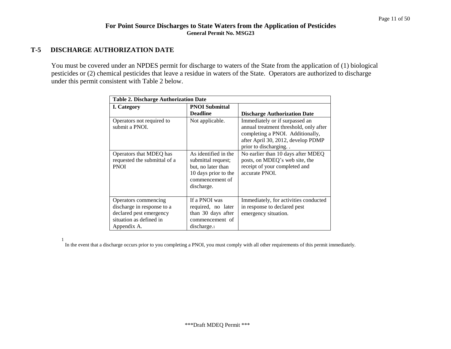#### **T-5 DISCHARGE AUTHORIZATION DATE**

You must be covered under an NPDES permit for discharge to waters of the State from the application of (1) biological pesticides or (2) chemical pesticides that leave a residue in waters of the State. Operators are authorized to discharge under this permit consistent with Table 2 below.

| <b>Table 2. Discharge Authorization Date</b>                                                                            |                                                                                                                           |                                                                                                                                                                               |  |  |  |  |
|-------------------------------------------------------------------------------------------------------------------------|---------------------------------------------------------------------------------------------------------------------------|-------------------------------------------------------------------------------------------------------------------------------------------------------------------------------|--|--|--|--|
| I. Category                                                                                                             | <b>PNOI Submittal</b><br><b>Deadline</b>                                                                                  | <b>Discharge Authorization Date</b>                                                                                                                                           |  |  |  |  |
| Operators not required to<br>submit a PNOI.                                                                             | Not applicable.                                                                                                           | Immediately or if surpassed an<br>annual treatment threshold, only after<br>completing a PNOI. Additionally,<br>after April 30, 2012, develop PDMP<br>prior to discharging. . |  |  |  |  |
| Operators that MDEQ has<br>requested the submittal of a<br><b>PNOI</b>                                                  | As identified in the<br>submittal request;<br>but, no later than<br>10 days prior to the<br>commencement of<br>discharge. | No earlier than 10 days after MDEQ<br>posts, on MDEQ's web site, the<br>receipt of your completed and<br>accurate PNOI.                                                       |  |  |  |  |
| Operators commencing<br>discharge in response to a<br>declared pest emergency<br>situation as defined in<br>Appendix A. | If a PNOI was<br>required, no later<br>than 30 days after<br>commencement of<br>discharge.                                | Immediately, for activities conducted<br>in response to declared pest<br>emergency situation.                                                                                 |  |  |  |  |

1

In the event that a discharge occurs prior to you completing a PNOI, you must comply with all other requirements of this permit immediately.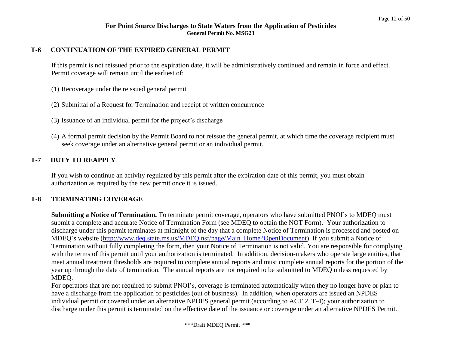#### **T-6 CONTINUATION OF THE EXPIRED GENERAL PERMIT**

If this permit is not reissued prior to the expiration date, it will be administratively continued and remain in force and effect. Permit coverage will remain until the earliest of:

- (1) Recoverage under the reissued general permit
- (2) Submittal of a Request for Termination and receipt of written concurrence
- (3) Issuance of an individual permit for the project's discharge
- (4) A formal permit decision by the Permit Board to not reissue the general permit, at which time the coverage recipient must seek coverage under an alternative general permit or an individual permit.

## **T-7 DUTY TO REAPPLY**

If you wish to continue an activity regulated by this permit after the expiration date of this permit, you must obtain authorization as required by the new permit once it is issued.

#### **T-8 TERMINATING COVERAGE**

**Submitting a Notice of Termination.** To terminate permit coverage, operators who have submitted PNOI's to MDEQ must submit a complete and accurate Notice of Termination Form (see MDEQ to obtain the NOT Form). Your authorization to discharge under this permit terminates at midnight of the day that a complete Notice of Termination is processed and posted on MDEQ's website [\(http://www.deq.state.ms.us/MDEQ.nsf/page/Main\\_Home?OpenDocument\)](http://www.deq.state.ms.us/MDEQ.nsf/page/Main_Home?OpenDocument)). If you submit a Notice of Termination without fully completing the form, then your Notice of Termination is not valid. You are responsible for complying with the terms of this permit until your authorization is terminated. In addition, decision-makers who operate large entities, that meet annual treatment thresholds are required to complete annual reports and must complete annual reports for the portion of the year up through the date of termination. The annual reports are not required to be submitted to MDEQ unless requested by MDEQ.

For operators that are not required to submit PNOI's, coverage is terminated automatically when they no longer have or plan to have a discharge from the application of pesticides (out of business). In addition, when operators are issued an NPDES individual permit or covered under an alternative NPDES general permit (according to ACT 2, T-4); your authorization to discharge under this permit is terminated on the effective date of the issuance or coverage under an alternative NPDES Permit.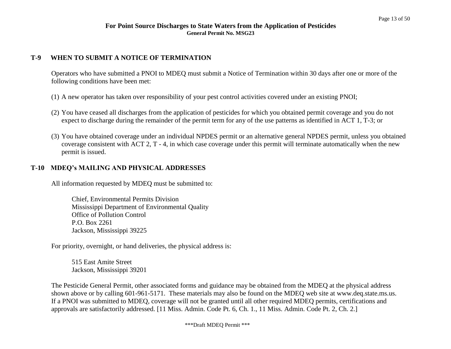# **T-9 WHEN TO SUBMIT A NOTICE OF TERMINATION**

Operators who have submitted a PNOI to MDEQ must submit a Notice of Termination within 30 days after one or more of the following conditions have been met:

- (1) A new operator has taken over responsibility of your pest control activities covered under an existing PNOI;
- (2) You have ceased all discharges from the application of pesticides for which you obtained permit coverage and you do not expect to discharge during the remainder of the permit term for any of the use patterns as identified in ACT 1, T-3; or
- (3) You have obtained coverage under an individual NPDES permit or an alternative general NPDES permit, unless you obtained coverage consistent with ACT 2, T - 4, in which case coverage under this permit will terminate automatically when the new permit is issued.

## **T-10 MDEQ's MAILING AND PHYSICAL ADDRESSES**

All information requested by MDEQ must be submitted to:

Chief, Environmental Permits Division Mississippi Department of Environmental Quality Office of Pollution Control P.O. Box 2261 Jackson, Mississippi 39225

For priority, overnight, or hand deliveries, the physical address is:

515 East Amite Street Jackson, Mississippi 39201

The Pesticide General Permit, other associated forms and guidance may be obtained from the MDEQ at the physical address shown above or by calling 601-961-5171. These materials may also be found on the MDEQ web site at [www.deq.state.ms.us.](http://www.deq.state.ms.us/) If a PNOI was submitted to MDEQ, coverage will not be granted until all other required MDEQ permits, certifications and approvals are satisfactorily addressed. [11 Miss. Admin. Code Pt. 6, Ch. 1., 11 Miss. Admin. Code Pt. 2, Ch. 2.]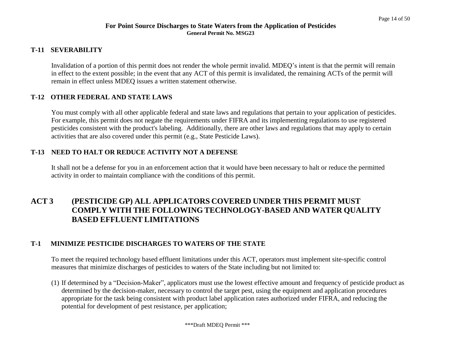## **T-11 SEVERABILITY**

Invalidation of a portion of this permit does not render the whole permit invalid. MDEQ's intent is that the permit will remain in effect to the extent possible; in the event that any ACT of this permit is invalidated, the remaining ACTs of the permit will remain in effect unless MDEQ issues a written statement otherwise.

# **T-12 OTHER FEDERAL AND STATE LAWS**

You must comply with all other applicable federal and state laws and regulations that pertain to your application of pesticides. For example, this permit does not negate the requirements under FIFRA and its implementing regulations to use registered pesticides consistent with the product's labeling. Additionally, there are other laws and regulations that may apply to certain activities that are also covered under this permit (e.g., State Pesticide Laws).

## **T-13 NEED TO HALT OR REDUCE ACTIVITY NOT A DEFENSE**

It shall not be a defense for you in an enforcement action that it would have been necessary to halt or reduce the permitted activity in order to maintain compliance with the conditions of this permit.

# **ACT 3 (PESTICIDE GP) ALL APPLICATORS COVERED UNDER THIS PERMIT MUST COMPLY WITH THE FOLLOWING TECHNOLOGY-BASED AND WATER QUALITY BASED EFFLUENT LIMITATIONS**

# **T-1 MINIMIZE PESTICIDE DISCHARGES TO WATERS OF THE STATE**

To meet the required technology based effluent limitations under this ACT, operators must implement site-specific control measures that minimize discharges of pesticides to waters of the State including but not limited to:

(1) If determined by a "Decision-Maker", applicators must use the lowest effective amount and frequency of pesticide product as determined by the decision-maker, necessary to control the target pest, using the equipment and application procedures appropriate for the task being consistent with product label application rates authorized under FIFRA, and reducing the potential for development of pest resistance, per application;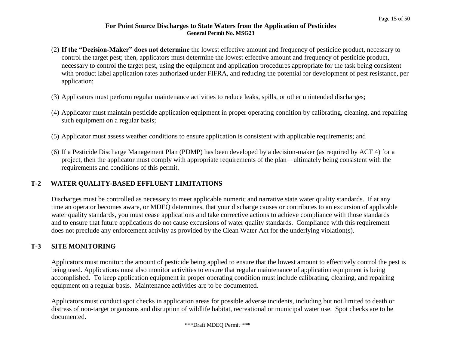- (2) **If the "Decision-Maker" does not determine** the lowest effective amount and frequency of pesticide product, necessary to control the target pest; then, applicators must determine the lowest effective amount and frequency of pesticide product, necessary to control the target pest, using the equipment and application procedures appropriate for the task being consistent with product label application rates authorized under FIFRA, and reducing the potential for development of pest resistance, per application;
- (3) Applicators must perform regular maintenance activities to reduce leaks, spills, or other unintended discharges;
- (4) Applicator must maintain pesticide application equipment in proper operating condition by calibrating, cleaning, and repairing such equipment on a regular basis;
- (5) Applicator must assess weather conditions to ensure application is consistent with applicable requirements; and
- (6) If a Pesticide Discharge Management Plan (PDMP) has been developed by a decision-maker (as required by ACT 4) for a project, then the applicator must comply with appropriate requirements of the plan – ultimately being consistent with the requirements and conditions of this permit.

# **T-2 WATER QUALITY-BASED EFFLUENT LIMITATIONS**

Discharges must be controlled as necessary to meet applicable numeric and narrative state water quality standards. If at any time an operator becomes aware, or MDEQ determines, that your discharge causes or contributes to an excursion of applicable water quality standards, you must cease applications and take corrective actions to achieve compliance with those standards and to ensure that future applications do not cause excursions of water quality standards. Compliance with this requirement does not preclude any enforcement activity as provided by the Clean Water Act for the underlying violation(s).

# **T-3 SITE MONITORING**

Applicators must monitor: the amount of pesticide being applied to ensure that the lowest amount to effectively control the pest is being used. Applications must also monitor activities to ensure that regular maintenance of application equipment is being accomplished. To keep application equipment in proper operating condition must include calibrating, cleaning, and repairing equipment on a regular basis. Maintenance activities are to be documented.

Applicators must conduct spot checks in application areas for possible adverse incidents, including but not limited to death or distress of non-target organisms and disruption of wildlife habitat, recreational or municipal water use. Spot checks are to be documented.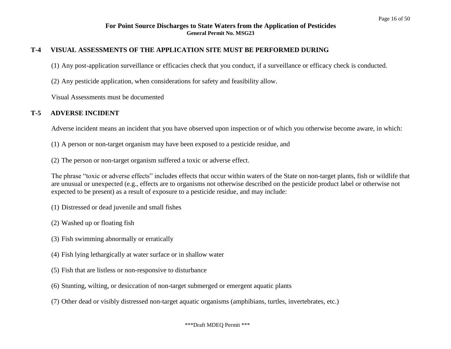#### **T-4 VISUAL ASSESSMENTS OF THE APPLICATION SITE MUST BE PERFORMED DURING**

(1) Any post-application surveillance or efficacies check that you conduct, if a surveillance or efficacy check is conducted.

(2) Any pesticide application, when considerations for safety and feasibility allow.

Visual Assessments must be documented

## **T-5 ADVERSE INCIDENT**

Adverse incident means an incident that you have observed upon inspection or of which you otherwise become aware, in which:

- (1) A person or non-target organism may have been exposed to a pesticide residue, and
- (2) The person or non-target organism suffered a toxic or adverse effect.

The phrase "toxic or adverse effects" includes effects that occur within waters of the State on non-target plants, fish or wildlife that are unusual or unexpected (e.g., effects are to organisms not otherwise described on the pesticide product label or otherwise not expected to be present) as a result of exposure to a pesticide residue, and may include:

- (1) Distressed or dead juvenile and small fishes
- (2) Washed up or floating fish
- (3) Fish swimming abnormally or erratically
- (4) Fish lying lethargically at water surface or in shallow water
- (5) Fish that are listless or non-responsive to disturbance
- (6) Stunting, wilting, or desiccation of non-target submerged or emergent aquatic plants
- (7) Other dead or visibly distressed non-target aquatic organisms (amphibians, turtles, invertebrates, etc.)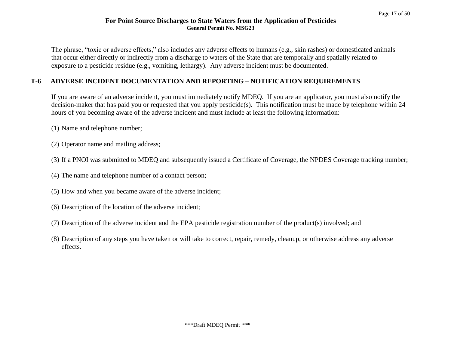The phrase, "toxic or adverse effects," also includes any adverse effects to humans (e.g., skin rashes) or domesticated animals that occur either directly or indirectly from a discharge to waters of the State that are temporally and spatially related to exposure to a pesticide residue (e.g., vomiting, lethargy). Any adverse incident must be documented.

# **T-6 ADVERSE INCIDENT DOCUMENTATION AND REPORTING – NOTIFICATION REQUIREMENTS**

If you are aware of an adverse incident, you must immediately notify MDEQ. If you are an applicator, you must also notify the decision-maker that has paid you or requested that you apply pesticide(s). This notification must be made by telephone within 24 hours of you becoming aware of the adverse incident and must include at least the following information:

- (1) Name and telephone number;
- (2) Operator name and mailing address;
- (3) If a PNOI was submitted to MDEQ and subsequently issued a Certificate of Coverage, the NPDES Coverage tracking number;
- (4) The name and telephone number of a contact person;
- (5) How and when you became aware of the adverse incident;
- (6) Description of the location of the adverse incident;
- (7) Description of the adverse incident and the EPA pesticide registration number of the product(s) involved; and
- (8) Description of any steps you have taken or will take to correct, repair, remedy, cleanup, or otherwise address any adverse effects.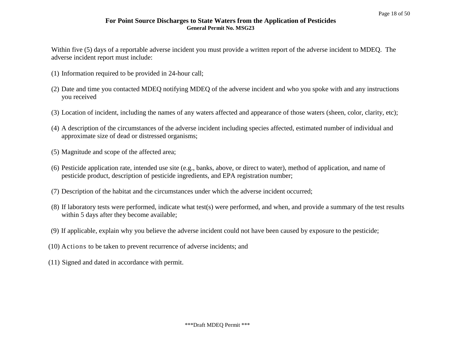Within five (5) days of a reportable adverse incident you must provide a written report of the adverse incident to MDEQ. The adverse incident report must include:

- (1) Information required to be provided in 24-hour call;
- (2) Date and time you contacted MDEQ notifying MDEQ of the adverse incident and who you spoke with and any instructions you received
- (3) Location of incident, including the names of any waters affected and appearance of those waters (sheen, color, clarity, etc);
- (4) A description of the circumstances of the adverse incident including species affected, estimated number of individual and approximate size of dead or distressed organisms;
- (5) Magnitude and scope of the affected area;
- (6) Pesticide application rate, intended use site (e.g., banks, above, or direct to water), method of application, and name of pesticide product, description of pesticide ingredients, and EPA registration number;
- (7) Description of the habitat and the circumstances under which the adverse incident occurred;
- (8) If laboratory tests were performed, indicate what test(s) were performed, and when, and provide a summary of the test results within 5 days after they become available;
- (9) If applicable, explain why you believe the adverse incident could not have been caused by exposure to the pesticide;
- (10) Actions to be taken to prevent recurrence of adverse incidents; and
- (11) Signed and dated in accordance with permit.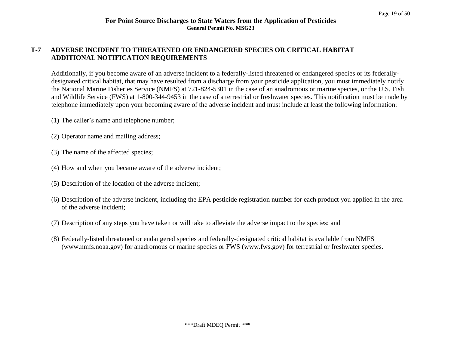# **T-7 ADVERSE INCIDENT TO THREATENED OR ENDANGERED SPECIES OR CRITICAL HABITAT ADDITIONAL NOTIFICATION REQUIREMENTS**

Additionally, if you become aware of an adverse incident to a federally-listed threatened or endangered species or its federallydesignated critical habitat, that may have resulted from a discharge from your pesticide application, you must immediately notify the National Marine Fisheries Service (NMFS) at 721-824-5301 in the case of an anadromous or marine species, or the U.S. Fish and Wildlife Service (FWS) at 1-800-344-9453 in the case of a terrestrial or freshwater species. This notification must be made by telephone immediately upon your becoming aware of the adverse incident and must include at least the following information:

- (1) The caller's name and telephone number;
- (2) Operator name and mailing address;
- (3) The name of the affected species;
- (4) How and when you became aware of the adverse incident;
- (5) Description of the location of the adverse incident;
- (6) Description of the adverse incident, including the EPA pesticide registration number for each product you applied in the area of the adverse incident;
- (7) Description of any steps you have taken or will take to alleviate the adverse impact to the species; and
- (8) Federally-listed threatened or endangered species and federally-designated critical habitat is available from NMFS (www.nmfs.noaa.gov) for anadromous or marine species or FWS (www.fws.gov) for terrestrial or freshwater species.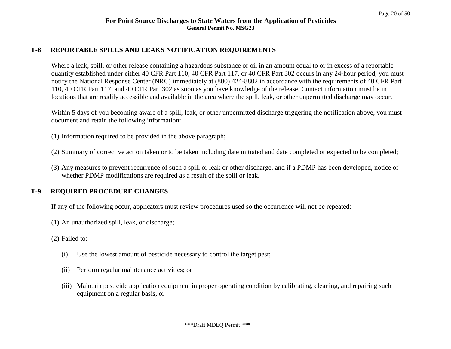#### **T-8 REPORTABLE SPILLS AND LEAKS NOTIFICATION REQUIREMENTS**

Where a leak, spill, or other release containing a hazardous substance or oil in an amount equal to or in excess of a reportable quantity established under either 40 CFR Part 110, 40 CFR Part 117, or 40 CFR Part 302 occurs in any 24-hour period, you must notify the National Response Center (NRC) immediately at (800) 424-8802 in accordance with the requirements of 40 CFR Part 110, 40 CFR Part 117, and 40 CFR Part 302 as soon as you have knowledge of the release. Contact information must be in locations that are readily accessible and available in the area where the spill, leak, or other unpermitted discharge may occur.

Within 5 days of you becoming aware of a spill, leak, or other unpermitted discharge triggering the notification above, you must document and retain the following information:

- (1) Information required to be provided in the above paragraph;
- (2) Summary of corrective action taken or to be taken including date initiated and date completed or expected to be completed;
- (3) Any measures to prevent recurrence of such a spill or leak or other discharge, and if a PDMP has been developed, notice of whether PDMP modifications are required as a result of the spill or leak.

#### **T-9 REQUIRED PROCEDURE CHANGES**

If any of the following occur, applicators must review procedures used so the occurrence will not be repeated:

- (1) An unauthorized spill, leak, or discharge;
- (2) Failed to:
	- (i) Use the lowest amount of pesticide necessary to control the target pest;
	- (ii) Perform regular maintenance activities; or
	- (iii) Maintain pesticide application equipment in proper operating condition by calibrating, cleaning, and repairing such equipment on a regular basis, or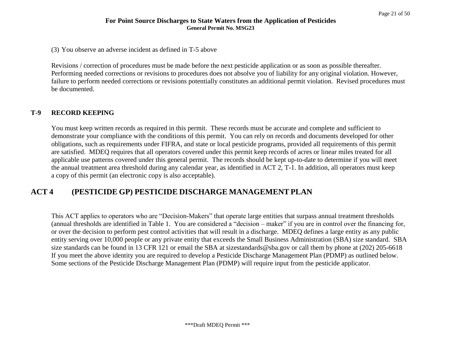(3) You observe an adverse incident as defined in T-5 above

Revisions / correction of procedures must be made before the next pesticide application or as soon as possible thereafter. Performing needed corrections or revisions to procedures does not absolve you of liability for any original violation. However, failure to perform needed corrections or revisions potentially constitutes an additional permit violation. Revised procedures must be documented.

## **T-9 RECORD KEEPING**

You must keep written records as required in this permit. These records must be accurate and complete and sufficient to demonstrate your compliance with the conditions of this permit. You can rely on records and documents developed for other obligations, such as requirements under FIFRA, and state or local pesticide programs, provided all requirements of this permit are satisfied. MDEQ requires that all operators covered under this permit keep records of acres or linear miles treated for all applicable use patterns covered under this general permit. The records should be kept up-to-date to determine if you will meet the annual treatment area threshold during any calendar year, as identified in ACT 2, T-1. In addition, all operators must keep a copy of this permit (an electronic copy is also acceptable).

# **ACT 4 (PESTICIDE GP) PESTICIDE DISCHARGE MANAGEMENT PLAN**

This ACT applies to operators who are "Decision-Makers" that operate large entities that surpass annual treatment thresholds (annual thresholds are identified in Table 1. You are considered a "decision – maker" if you are in control over the financing for, or over the decision to perform pest control activities that will result in a discharge. MDEQ defines a large entity as any public entity serving over 10,000 people or any private entity that exceeds the Small Business Administration (SBA) size standard. SBA size standards can be found in 13 CFR 121 or email the SBA at sizestandards@sba.gov or call them by phone at (202) 205-6618 If you meet the above identity you are required to develop a Pesticide Discharge Management Plan (PDMP) as outlined below. Some sections of the Pesticide Discharge Management Plan (PDMP) will require input from the pesticide applicator.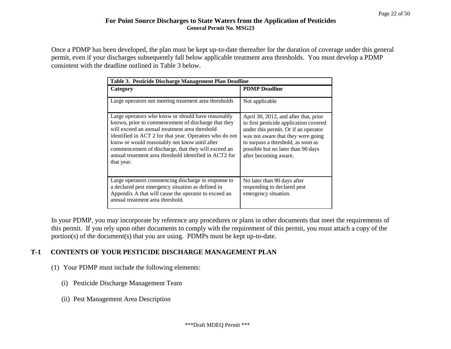Once a PDMP has been developed, the plan must be kept up-to-date thereafter for the duration of coverage under this general permit, even if your discharges subsequently fall below applicable treatment area thresholds. You must develop a PDMP consistent with the deadline outlined in Table 3 below.

| Table 3. Pesticide Discharge Management Plan Deadline                                                                                                                                                                                                                                                                                                                                                  |                                                                                                                                                                                                                                                                    |  |  |
|--------------------------------------------------------------------------------------------------------------------------------------------------------------------------------------------------------------------------------------------------------------------------------------------------------------------------------------------------------------------------------------------------------|--------------------------------------------------------------------------------------------------------------------------------------------------------------------------------------------------------------------------------------------------------------------|--|--|
| Category                                                                                                                                                                                                                                                                                                                                                                                               | <b>PDMP</b> Deadline                                                                                                                                                                                                                                               |  |  |
| Large operators not meeting treatment area thresholds                                                                                                                                                                                                                                                                                                                                                  | Not applicable                                                                                                                                                                                                                                                     |  |  |
| Large operators who know or should have reasonably<br>known, prior to commencement of discharge that they<br>will exceed an annual treatment area threshold<br>identified in ACT 2 for that year. Operators who do not<br>know or would reasonably not know until after<br>commencement of discharge, that they will exceed an<br>annual treatment area threshold identified in ACT2 for<br>that year. | April 30, 2012, and after that, prior<br>to first pesticide application covered<br>under this permit. Or if an operator<br>was not aware that they were going<br>to surpass a threshold, as soon as<br>possible but no later than 90 days<br>after becoming aware. |  |  |
| Large operators commencing discharge in response to<br>a declared pest emergency situation as defined in<br>Appendix A that will cause the operator to exceed an<br>annual treatment area threshold.                                                                                                                                                                                                   | No later than 90 days after<br>responding to declared pest<br>emergency situation.                                                                                                                                                                                 |  |  |

In your PDMP, you may incorporate by reference any procedures or plans in other documents that meet the requirements of this permit. If you rely upon other documents to comply with the requirement of this permit, you must attach a copy of the portion(s) of the document(s) that you are using. PDMPs must be kept up-to-date.

# **T-1 CONTENTS OF YOUR PESTICIDE DISCHARGE MANAGEMENT PLAN**

- (1) Your PDMP must include the following elements:
	- (i) Pesticide Discharge Management Team
	- (ii) Pest Management Area Description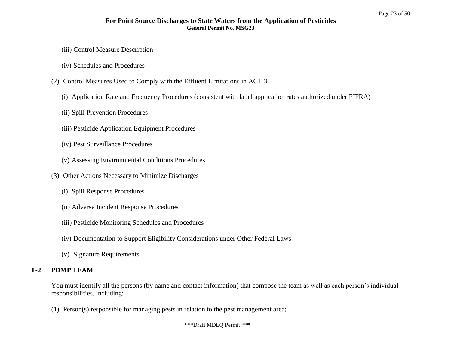- (iii) Control Measure Description
- (iv) Schedules and Procedures
- (2) Control Measures Used to Comply with the Effluent Limitations in ACT 3
	- (i) Application Rate and Frequency Procedures (consistent with label application rates authorized under FIFRA)
	- (ii) Spill Prevention Procedures
	- (iii) Pesticide Application Equipment Procedures
	- (iv) Pest Surveillance Procedures
	- (v) Assessing Environmental Conditions Procedures
- (3) Other Actions Necessary to Minimize Discharges
	- (i) Spill Response Procedures
	- (ii) Adverse Incident Response Procedures
	- (iii) Pesticide Monitoring Schedules and Procedures
	- (iv) Documentation to Support Eligibility Considerations under Other Federal Laws
	- (v) Signature Requirements.

# **T-2 PDMP TEAM**

You must identify all the persons (by name and contact information) that compose the team as well as each person's individual responsibilities, including:

(1) Person(s) responsible for managing pests in relation to the pest management area;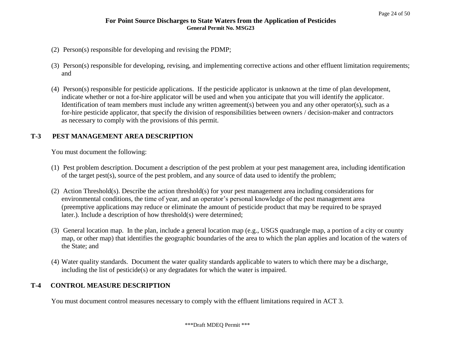- (2) Person(s) responsible for developing and revising the PDMP;
- (3) Person(s) responsible for developing, revising, and implementing corrective actions and other effluent limitation requirements; and
- (4) Person(s) responsible for pesticide applications. If the pesticide applicator is unknown at the time of plan development, indicate whether or not a for-hire applicator will be used and when you anticipate that you will identify the applicator. Identification of team members must include any written agreement(s) between you and any other operator(s), such as a for-hire pesticide applicator, that specify the division of responsibilities between owners / decision-maker and contractors as necessary to comply with the provisions of this permit.

# **T-3 PEST MANAGEMENT AREA DESCRIPTION**

You must document the following:

- (1) Pest problem description. Document a description of the pest problem at your pest management area, including identification of the target pest(s), source of the pest problem, and any source of data used to identify the problem;
- (2) Action Threshold(s). Describe the action threshold(s) for your pest management area including considerations for environmental conditions, the time of year, and an operator's personal knowledge of the pest management area (preemptive applications may reduce or eliminate the amount of pesticide product that may be required to be sprayed later.). Include a description of how threshold(s) were determined;
- (3) General location map. In the plan, include a general location map (e.g., USGS quadrangle map, a portion of a city or county map, or other map) that identifies the geographic boundaries of the area to which the plan applies and location of the waters of the State; and
- (4) Water quality standards. Document the water quality standards applicable to waters to which there may be a discharge, including the list of pesticide(s) or any degradates for which the water is impaired.

#### **T-4 CONTROL MEASURE DESCRIPTION**

You must document control measures necessary to comply with the effluent limitations required in ACT 3.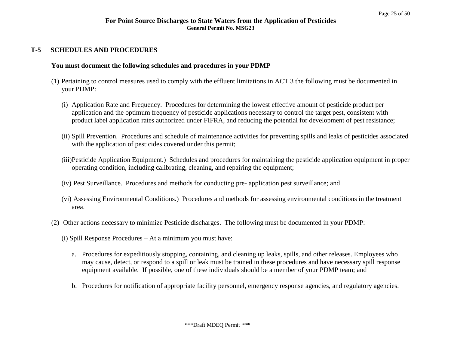#### **T-5 SCHEDULES AND PROCEDURES**

#### **You must document the following schedules and procedures in your PDMP**

- (1) Pertaining to control measures used to comply with the effluent limitations in ACT 3 the following must be documented in your PDMP:
	- (i) Application Rate and Frequency. Procedures for determining the lowest effective amount of pesticide product per application and the optimum frequency of pesticide applications necessary to control the target pest, consistent with product label application rates authorized under FIFRA, and reducing the potential for development of pest resistance;
	- (ii) Spill Prevention. Procedures and schedule of maintenance activities for preventing spills and leaks of pesticides associated with the application of pesticides covered under this permit;
	- (iii)Pesticide Application Equipment.) Schedules and procedures for maintaining the pesticide application equipment in proper operating condition, including calibrating, cleaning, and repairing the equipment;
	- (iv) Pest Surveillance. Procedures and methods for conducting pre- application pest surveillance; and
	- (vi) Assessing Environmental Conditions.) Procedures and methods for assessing environmental conditions in the treatment area.
- (2) Other actions necessary to minimize Pesticide discharges. The following must be documented in your PDMP:
	- (i) Spill Response Procedures At a minimum you must have:
		- a. Procedures for expeditiously stopping, containing, and cleaning up leaks, spills, and other releases. Employees who may cause, detect, or respond to a spill or leak must be trained in these procedures and have necessary spill response equipment available. If possible, one of these individuals should be a member of your PDMP team; and
		- b. Procedures for notification of appropriate facility personnel, emergency response agencies, and regulatory agencies.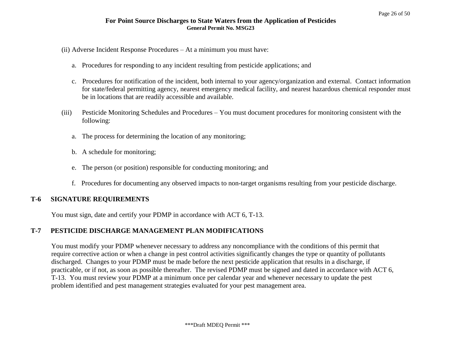- (ii) Adverse Incident Response Procedures At a minimum you must have:
	- a. Procedures for responding to any incident resulting from pesticide applications; and
	- c. Procedures for notification of the incident, both internal to your agency/organization and external. Contact information for state/federal permitting agency, nearest emergency medical facility, and nearest hazardous chemical responder must be in locations that are readily accessible and available.
- (iii) Pesticide Monitoring Schedules and Procedures You must document procedures for monitoring consistent with the following:
	- a. The process for determining the location of any monitoring;
	- b. A schedule for monitoring;
	- e. The person (or position) responsible for conducting monitoring; and
	- f. Procedures for documenting any observed impacts to non-target organisms resulting from your pesticide discharge.

#### **T-6 SIGNATURE REQUIREMENTS**

You must sign, date and certify your PDMP in accordance with ACT 6, T-13.

#### **T-7 PESTICIDE DISCHARGE MANAGEMENT PLAN MODIFICATIONS**

You must modify your PDMP whenever necessary to address any noncompliance with the conditions of this permit that require corrective action or when a change in pest control activities significantly changes the type or quantity of pollutants discharged. Changes to your PDMP must be made before the next pesticide application that results in a discharge, if practicable, or if not, as soon as possible thereafter. The revised PDMP must be signed and dated in accordance with ACT 6, T-13. You must review your PDMP at a minimum once per calendar year and whenever necessary to update the pest problem identified and pest management strategies evaluated for your pest management area.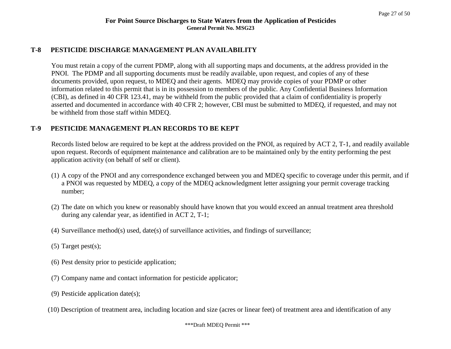#### **T-8 PESTICIDE DISCHARGE MANAGEMENT PLAN AVAILABILITY**

You must retain a copy of the current PDMP, along with all supporting maps and documents, at the address provided in the PNOI. The PDMP and all supporting documents must be readily available, upon request, and copies of any of these documents provided, upon request, to MDEQ and their agents. MDEQ may provide copies of your PDMP or other information related to this permit that is in its possession to members of the public. Any Confidential Business Information (CBI), as defined in 40 CFR 123.41, may be withheld from the public provided that a claim of confidentiality is properly asserted and documented in accordance with 40 CFR 2; however, CBI must be submitted to MDEQ, if requested, and may not be withheld from those staff within MDEQ.

#### **T-9 PESTICIDE MANAGEMENT PLAN RECORDS TO BE KEPT**

Records listed below are required to be kept at the address provided on the PNOI, as required by ACT 2, T-1, and readily available upon request. Records of equipment maintenance and calibration are to be maintained only by the entity performing the pest application activity (on behalf of self or client).

- (1) A copy of the PNOI and any correspondence exchanged between you and MDEQ specific to coverage under this permit, and if a PNOI was requested by MDEQ, a copy of the MDEQ acknowledgment letter assigning your permit coverage tracking number;
- (2) The date on which you knew or reasonably should have known that you would exceed an annual treatment area threshold during any calendar year, as identified in ACT 2, T-1;
- (4) Surveillance method(s) used, date(s) of surveillance activities, and findings of surveillance;
- (5) Target pest(s);
- (6) Pest density prior to pesticide application;
- (7) Company name and contact information for pesticide applicator;
- (9) Pesticide application date(s);
- (10) Description of treatment area, including location and size (acres or linear feet) of treatment area and identification of any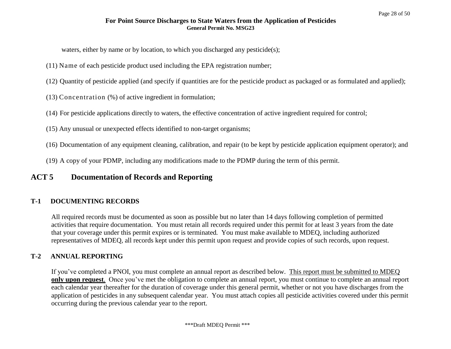waters, either by name or by location, to which you discharged any pesticide(s);

- (11) Name of each pesticide product used including the EPA registration number;
- (12) Quantity of pesticide applied (and specify if quantities are for the pesticide product as packaged or as formulated and applied);
- (13) Concentration (%) of active ingredient in formulation;
- (14) For pesticide applications directly to waters, the effective concentration of active ingredient required for control;
- (15) Any unusual or unexpected effects identified to non-target organisms;
- (16) Documentation of any equipment cleaning, calibration, and repair (to be kept by pesticide application equipment operator); and
- (19) A copy of your PDMP, including any modifications made to the PDMP during the term of this permit.

# **ACT 5 Documentation of Records and Reporting**

# **T-1 DOCUMENTING RECORDS**

All required records must be documented as soon as possible but no later than 14 days following completion of permitted activities that require documentation. You must retain all records required under this permit for at least 3 years from the date that your coverage under this permit expires or is terminated. You must make available to MDEQ, including authorized representatives of MDEQ, all records kept under this permit upon request and provide copies of such records, upon request.

# **T-2 ANNUAL REPORTING**

If you've completed a PNOI, you must complete an annual report as described below. This report must be submitted to MDEQ **only upon request**. Once you've met the obligation to complete an annual report, you must continue to complete an annual report each calendar year thereafter for the duration of coverage under this general permit, whether or not you have discharges from the application of pesticides in any subsequent calendar year. You must attach copies all pesticide activities covered under this permit occurring during the previous calendar year to the report.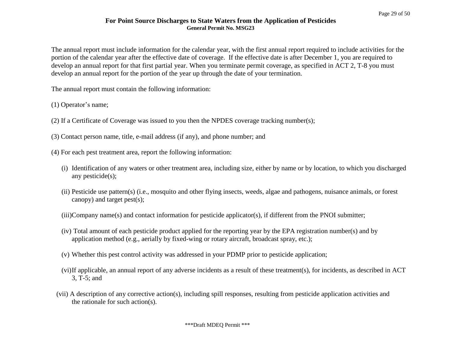The annual report must include information for the calendar year, with the first annual report required to include activities for the portion of the calendar year after the effective date of coverage. If the effective date is after December 1, you are required to develop an annual report for that first partial year. When you terminate permit coverage, as specified in ACT 2, T-8 you must develop an annual report for the portion of the year up through the date of your termination.

The annual report must contain the following information:

(1) Operator's name;

- (2) If a Certificate of Coverage was issued to you then the NPDES coverage tracking number(s);
- (3) Contact person name, title, e-mail address (if any), and phone number; and
- (4) For each pest treatment area, report the following information:
	- (i) Identification of any waters or other treatment area, including size, either by name or by location, to which you discharged any pesticide(s);
	- (ii) Pesticide use pattern(s) (i.e., mosquito and other flying insects, weeds, algae and pathogens, nuisance animals, or forest canopy) and target pest(s);
	- (iii)Company name(s) and contact information for pesticide applicator(s), if different from the PNOI submitter;
	- (iv) Total amount of each pesticide product applied for the reporting year by the EPA registration number(s) and by application method (e.g., aerially by fixed-wing or rotary aircraft, broadcast spray, etc.);
	- (v) Whether this pest control activity was addressed in your PDMP prior to pesticide application;
	- (vi)If applicable, an annual report of any adverse incidents as a result of these treatment(s), for incidents, as described in ACT 3, T-5; and
	- (vii) A description of any corrective action(s), including spill responses, resulting from pesticide application activities and the rationale for such action(s).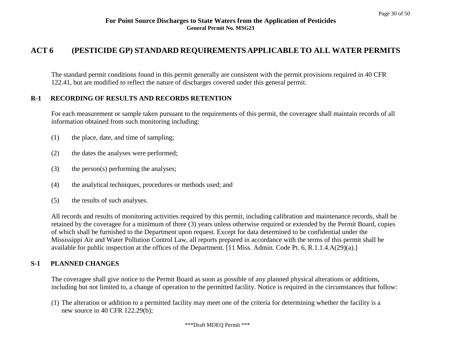# **ACT 6 (PESTICIDE GP) STANDARD REQUIREMENTS APPLICABLE TO ALL WATER PERMITS**

The standard permit conditions found in this permit generally are consistent with the permit provisions required in 40 CFR 122.41, but are modified to reflect the nature of discharges covered under this general permit.

#### **R-1 RECORDING OF RESULTS AND RECORDS RETENTION**

For each measurement or sample taken pursuant to the requirements of this permit, the coveragee shall maintain records of all information obtained from such monitoring including:

- (1) the place, date, and time of sampling;
- (2) the dates the analyses were performed;
- (3) the person(s) performing the analyses;
- (4) the analytical techniques, procedures or methods used; and
- (5) the results of such analyses.

All records and results of monitoring activities required by this permit, including calibration and maintenance records, shall be retained by the coveragee for a minimum of three (3) years unless otherwise required or extended by the Permit Board, copies of which shall be furnished to the Department upon request. Except for data determined to be confidential under the Mississippi Air and Water Pollution Control Law, all reports prepared in accordance with the terms of this permit shall be available for public inspection at the offices of the Department. [11 Miss. Admin. Code Pt. 6, R.1.1.4.A(29)(a).]

#### **S-1 PLANNED CHANGES**

The coveragee shall give notice to the Permit Board as soon as possible of any planned physical alterations or additions, including but not limited to, a change of operation to the permitted facility. Notice is required in the circumstances that follow:

(1) The alteration or addition to a permitted facility may meet one of the criteria for determining whether the facility is a new source in 40 CFR 122.29(b);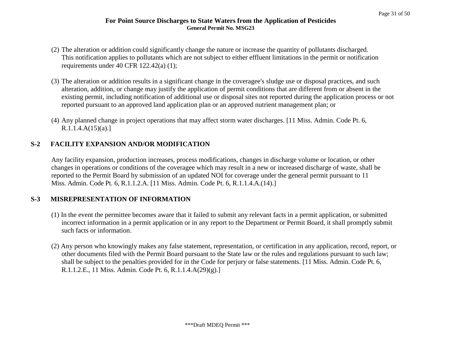- (2) The alteration or addition could significantly change the nature or increase the quantity of pollutants discharged. This notification applies to pollutants which are not subject to either effluent limitations in the permit or notification requirements under 40 CFR 122.42(a) (1);
- (3) The alteration or addition results in a significant change in the coveragee's sludge use or disposal practices, and such alteration, addition, or change may justify the application of permit conditions that are different from or absent in the existing permit, including notification of additional use or disposal sites not reported during the application process or not reported pursuant to an approved land application plan or an approved nutrient management plan; or
- (4) Any planned change in project operations that may affect storm water discharges. [11 Miss. Admin. Code Pt. 6,  $R.1.1.4.A(15)(a).$ ]

# **S-2 FACILITY EXPANSION AND/OR MODIFICATION**

Any facility expansion, production increases, process modifications, changes in discharge volume or location, or other changes in operations or conditions of the coveragee which may result in a new or increased discharge of waste, shall be reported to the Permit Board by submission of an updated NOI for coverage under the general permit pursuant to 11 Miss. Admin. Code Pt. 6, R.1.1.2.A. [11 Miss. Admin. Code Pt. 6, R.1.1.4.A.(14).]

# **S-3 MISREPRESENTATION OF INFORMATION**

- (1) In the event the permittee becomes aware that it failed to submit any relevant facts in a permit application, or submitted incorrect information in a permit application or in any report to the Department or Permit Board, it shall promptly submit such facts or information.
- (2) Any person who knowingly makes any false statement, representation, or certification in any application, record, report, or other documents filed with the Permit Board pursuant to the State law or the rules and regulations pursuant to such law; shall be subject to the penalties provided for in the Code for perjury or false statements. [11 Miss. Admin. Code Pt. 6, R.1.1.2.E., 11 Miss. Admin. Code Pt. 6, R.1.1.4.A(29)(g).]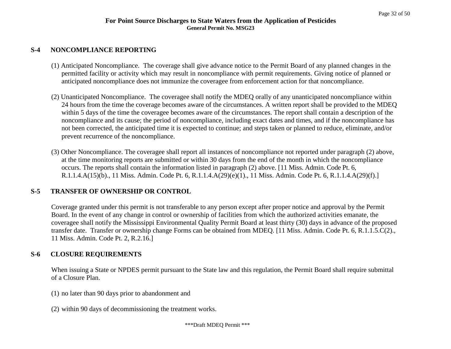#### **S-4 NONCOMPLIANCE REPORTING**

- (1) Anticipated Noncompliance. The coverage shall give advance notice to the Permit Board of any planned changes in the permitted facility or activity which may result in noncompliance with permit requirements. Giving notice of planned or anticipated noncompliance does not immunize the coveragee from enforcement action for that noncompliance.
- (2) Unanticipated Noncompliance. The coveragee shall notify the MDEQ orally of any unanticipated noncompliance within 24 hours from the time the coverage becomes aware of the circumstances. A written report shall be provided to the MDEQ within 5 days of the time the coveragee becomes aware of the circumstances. The report shall contain a description of the noncompliance and its cause; the period of noncompliance, including exact dates and times, and if the noncompliance has not been corrected, the anticipated time it is expected to continue; and steps taken or planned to reduce, eliminate, and/or prevent recurrence of the noncompliance.
- (3) Other Noncompliance. The coveragee shall report all instances of noncompliance not reported under paragraph (2) above, at the time monitoring reports are submitted or within 30 days from the end of the month in which the noncompliance occurs. The reports shall contain the information listed in paragraph (2) above. [11 Miss. Admin. Code Pt. 6, R.1.1.4.A(15)(b)., 11 Miss. Admin. Code Pt. 6, R.1.1.4.A(29)(e)(1)., 11 Miss. Admin. Code Pt. 6, R.1.1.4.A(29)(f).]

# **S-5 TRANSFER OF OWNERSHIP OR CONTROL**

Coverage granted under this permit is not transferable to any person except after proper notice and approval by the Permit Board. In the event of any change in control or ownership of facilities from which the authorized activities emanate, the coveragee shall notify the Mississippi Environmental Quality Permit Board at least thirty (30) days in advance of the proposed transfer date. Transfer or ownership change Forms can be obtained from MDEQ. [11 Miss. Admin. Code Pt. 6, R.1.1.5.C(2)., 11 Miss. Admin. Code Pt. 2, R.2.16.]

# **S-6 CLOSURE REQUIREMENTS**

When issuing a State or NPDES permit pursuant to the State law and this regulation, the Permit Board shall require submittal of a Closure Plan.

- (1) no later than 90 days prior to abandonment and
- (2) within 90 days of decommissioning the treatment works.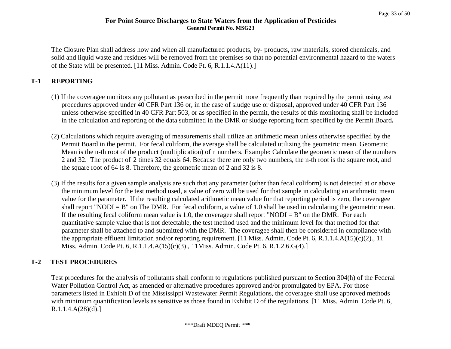The Closure Plan shall address how and when all manufactured products, by- products, raw materials, stored chemicals, and solid and liquid waste and residues will be removed from the premises so that no potential environmental hazard to the waters of the State will be presented. [11 Miss. Admin. Code Pt. 6, R.1.1.4.A(11).]

# **T-1 REPORTING**

- (1) If the coveragee monitors any pollutant as prescribed in the permit more frequently than required by the permit using test procedures approved under 40 CFR Part 136 or, in the case of sludge use or disposal, approved under 40 CFR Part 136 unless otherwise specified in 40 CFR Part 503, or as specified in the permit, the results of this monitoring shall be included in the calculation and reporting of the data submitted in the DMR or sludge reporting form specified by the Permit Board**.**
- (2) Calculations which require averaging of measurements shall utilize an arithmetic mean unless otherwise specified by the Permit Board in the permit. For fecal coliform, the average shall be calculated utilizing the geometric mean. Geometric Mean is the n-th root of the product (multiplication) of n numbers. Example: Calculate the geometric mean of the numbers 2 and 32. The product of 2 times 32 equals 64. Because there are only two numbers, the n-th root is the square root, and the square root of 64 is 8. Therefore, the geometric mean of 2 and 32 is 8.
- (3) If the results for a given sample analysis are such that any parameter (other than fecal coliform) is not detected at or above the minimum level for the test method used, a value of zero will be used for that sample in calculating an arithmetic mean value for the parameter. If the resulting calculated arithmetic mean value for that reporting period is zero, the coveragee shall report "NODI  $=$  B" on The DMR. For fecal coliform, a value of 1.0 shall be used in calculating the geometric mean. If the resulting fecal coliform mean value is 1.0, the coveragee shall report "NODI =  $B$ " on the DMR. For each quantitative sample value that is not detectable, the test method used and the minimum level for that method for that parameter shall be attached to and submitted with the DMR. The coveragee shall then be considered in compliance with the appropriate effluent limitation and/or reporting requirement. [11 Miss. Admin. Code Pt. 6, R.1.1.4.A(15)(c)(2)., 11 Miss. Admin. Code Pt. 6, R.1.1.4.A(15)(c)(3)., 11Miss. Admin. Code Pt. 6, R.1.2.6.G(4).]

# **T-2 TEST PROCEDURES**

Test procedures for the analysis of pollutants shall conform to regulations published pursuant to Section 304(h) of the Federal Water Pollution Control Act, as amended or alternative procedures approved and/or promulgated by EPA. For those parameters listed in Exhibit D of the Mississippi Wastewater Permit Regulations, the coveragee shall use approved methods with minimum quantification levels as sensitive as those found in Exhibit D of the regulations. [11 Miss. Admin. Code Pt. 6,  $R.1.1.4.A(28)(d).$ ]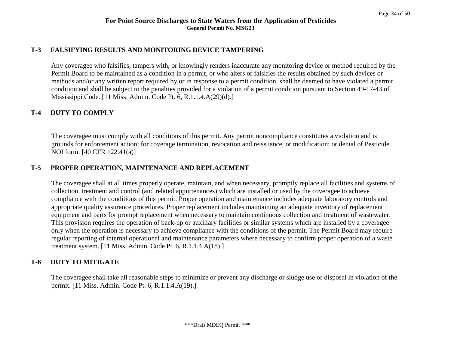#### **T-3 FALSIFYING RESULTS AND MONITORING DEVICE TAMPERING**

Any coveragee who falsifies, tampers with, or knowingly renders inaccurate any monitoring device or method required by the Permit Board to be maintained as a condition in a permit, or who alters or falsifies the results obtained by such devices or methods and/or any written report required by or in response to a permit condition, shall be deemed to have violated a permit condition and shall be subject to the penalties provided for a violation of a permit condition pursuant to Section 49-17-43 of Mississippi Code. [11 Miss. Admin. Code Pt. 6, R.1.1.4.A(29)(d).]

## **T-4 DUTY TO COMPLY**

The coveragee must comply with all conditions of this permit. Any permit noncompliance constitutes a violation and is grounds for enforcement action; for coverage termination, revocation and reissuance, or modification; or denial of Pesticide NOI form. [40 CFR 122.41(a)]

## **T-5 PROPER OPERATION, MAINTENANCE AND REPLACEMENT**

The coveragee shall at all times properly operate, maintain, and when necessary, promptly replace all facilities and systems of collection, treatment and control (and related appurtenances) which are installed or used by the coveragee to achieve compliance with the conditions of this permit. Proper operation and maintenance includes adequate laboratory controls and appropriate quality assurance procedures. Proper replacement includes maintaining an adequate inventory of replacement equipment and parts for prompt replacement when necessary to maintain continuous collection and treatment of wastewater. This provision requires the operation of back-up or auxiliary facilities or similar systems which are installed by a coveragee only when the operation is necessary to achieve compliance with the conditions of the permit. The Permit Board may require regular reporting of internal operational and maintenance parameters where necessary to confirm proper operation of a waste treatment system. [11 Miss. Admin. Code Pt. 6, R.1.1.4.A(18).]

# **T-6 DUTY TO MITIGATE**

The coveragee shall take all reasonable steps to minimize or prevent any discharge or sludge use or disposal in violation of the permit. [11 Miss. Admin. Code Pt. 6, R.1.1.4.A(19).]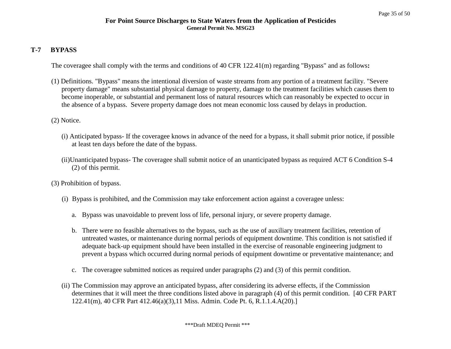#### **T-7 BYPASS**

The coveragee shall comply with the terms and conditions of 40 CFR 122.41(m) regarding "Bypass" and as follows**:**

- (1) Definitions. "Bypass" means the intentional diversion of waste streams from any portion of a treatment facility. "Severe property damage" means substantial physical damage to property, damage to the treatment facilities which causes them to become inoperable, or substantial and permanent loss of natural resources which can reasonably be expected to occur in the absence of a bypass. Severe property damage does not mean economic loss caused by delays in production.
- (2) Notice.
	- (i) Anticipated bypass- If the coveragee knows in advance of the need for a bypass, it shall submit prior notice, if possible at least ten days before the date of the bypass.
	- (ii)Unanticipated bypass- The coveragee shall submit notice of an unanticipated bypass as required ACT 6 Condition S-4 (2) of this permit.
- (3) Prohibition of bypass.
	- (i) Bypass is prohibited, and the Commission may take enforcement action against a coveragee unless:
		- a. Bypass was unavoidable to prevent loss of life, personal injury, or severe property damage.
		- b. There were no feasible alternatives to the bypass, such as the use of auxiliary treatment facilities, retention of untreated wastes, or maintenance during normal periods of equipment downtime. This condition is not satisfied if adequate back-up equipment should have been installed in the exercise of reasonable engineering judgment to prevent a bypass which occurred during normal periods of equipment downtime or preventative maintenance; and
		- c. The coveragee submitted notices as required under paragraphs (2) and (3) of this permit condition.
	- (ii) The Commission may approve an anticipated bypass, after considering its adverse effects, if the Commission determines that it will meet the three conditions listed above in paragraph (4) of this permit condition. [40 CFR PART 122.41(m), 40 CFR Part 412.46(a)(3),11 Miss. Admin. Code Pt. 6, R.1.1.4.A(20).]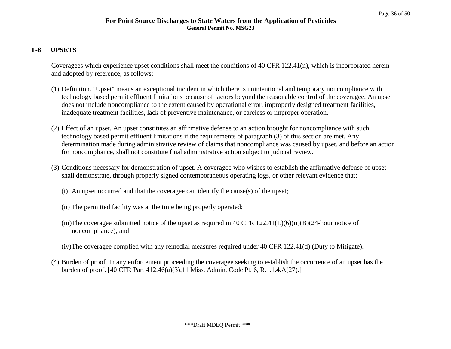#### **T-8 UPSETS**

Coveragees which experience upset conditions shall meet the conditions of 40 CFR 122.41(n), which is incorporated herein and adopted by reference, as follows:

- (1) Definition. "Upset" means an exceptional incident in which there is unintentional and temporary noncompliance with technology based permit effluent limitations because of factors beyond the reasonable control of the coveragee. An upset does not include noncompliance to the extent caused by operational error, improperly designed treatment facilities, inadequate treatment facilities, lack of preventive maintenance, or careless or improper operation.
- (2) Effect of an upset. An upset constitutes an affirmative defense to an action brought for noncompliance with such technology based permit effluent limitations if the requirements of paragraph (3) of this section are met. Any determination made during administrative review of claims that noncompliance was caused by upset, and before an action for noncompliance, shall not constitute final administrative action subject to judicial review.
- (3) Conditions necessary for demonstration of upset. A coveragee who wishes to establish the affirmative defense of upset shall demonstrate, through properly signed contemporaneous operating logs, or other relevant evidence that:
	- (i) An upset occurred and that the coveragee can identify the cause(s) of the upset;
	- (ii) The permitted facility was at the time being properly operated;
	- (iii)The coveragee submitted notice of the upset as required in 40 CFR  $122.41(L)(6)(ii)(B)(24$ -hour notice of noncompliance); and
	- (iv)The coveragee complied with any remedial measures required under 40 CFR 122.41(d) (Duty to Mitigate).
- (4) Burden of proof. In any enforcement proceeding the coveragee seeking to establish the occurrence of an upset has the burden of proof. [40 CFR Part 412.46(a)(3),11 Miss. Admin. Code Pt. 6, R.1.1.4.A(27).]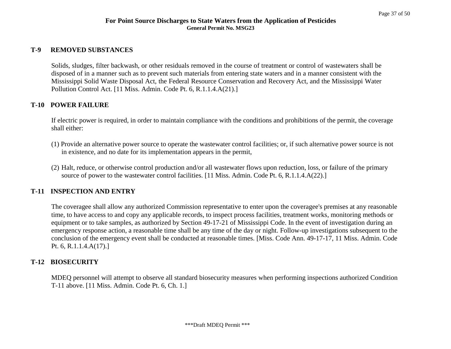#### **T-9 REMOVED SUBSTANCES**

Solids, sludges, filter backwash, or other residuals removed in the course of treatment or control of wastewaters shall be disposed of in a manner such as to prevent such materials from entering state waters and in a manner consistent with the Mississippi Solid Waste Disposal Act, the Federal Resource Conservation and Recovery Act, and the Mississippi Water Pollution Control Act. [11 Miss. Admin. Code Pt. 6, R.1.1.4.A(21).]

#### **T-10 POWER FAILURE**

If electric power is required, in order to maintain compliance with the conditions and prohibitions of the permit, the coverage shall either:

- (1) Provide an alternative power source to operate the wastewater control facilities; or, if such alternative power source is not in existence, and no date for its implementation appears in the permit,
- (2) Halt, reduce, or otherwise control production and/or all wastewater flows upon reduction, loss, or failure of the primary source of power to the wastewater control facilities. [11 Miss. Admin. Code Pt. 6, R.1.1.4.A(22).]

#### **T-11 INSPECTION AND ENTRY**

The coveragee shall allow any authorized Commission representative to enter upon the coveragee's premises at any reasonable time, to have access to and copy any applicable records, to inspect process facilities, treatment works, monitoring methods or equipment or to take samples, as authorized by Section 49-17-21 of Mississippi Code. In the event of investigation during an emergency response action, a reasonable time shall be any time of the day or night. Follow-up investigations subsequent to the conclusion of the emergency event shall be conducted at reasonable times. [Miss. Code Ann. 49-17-17, 11 Miss. Admin. Code Pt. 6, R.1.1.4.A(17).]

#### **T-12 BIOSECURITY**

MDEQ personnel will attempt to observe all standard biosecurity measures when performing inspections authorized Condition T-11 above. [11 Miss. Admin. Code Pt. 6, Ch. 1.]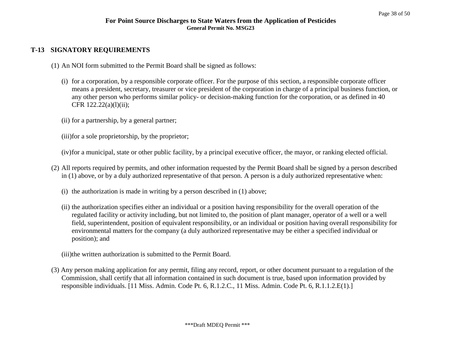## **T-13 SIGNATORY REQUIREMENTS**

- (1) An NOI form submitted to the Permit Board shall be signed as follows:
	- (i) for a corporation, by a responsible corporate officer. For the purpose of this section, a responsible corporate officer means a president, secretary, treasurer or vice president of the corporation in charge of a principal business function, or any other person who performs similar policy- or decision-making function for the corporation, or as defined in 40 CFR 122.22(a)(l)(ii);
	- (ii) for a partnership, by a general partner;

(iii)for a sole proprietorship, by the proprietor;

(iv)for a municipal, state or other public facility, by a principal executive officer, the mayor, or ranking elected official.

- (2) All reports required by permits, and other information requested by the Permit Board shall be signed by a person described in (1) above, or by a duly authorized representative of that person. A person is a duly authorized representative when:
	- (i) the authorization is made in writing by a person described in (1) above;
	- (ii) the authorization specifies either an individual or a position having responsibility for the overall operation of the regulated facility or activity including, but not limited to, the position of plant manager, operator of a well or a well field, superintendent, position of equivalent responsibility, or an individual or position having overall responsibility for environmental matters for the company (a duly authorized representative may be either a specified individual or position); and

(iii)the written authorization is submitted to the Permit Board.

(3) Any person making application for any permit, filing any record, report, or other document pursuant to a regulation of the Commission, shall certify that all information contained in such document is true, based upon information provided by responsible individuals. [11 Miss. Admin. Code Pt. 6, R.1.2.C., 11 Miss. Admin. Code Pt. 6, R.1.1.2.E(1).]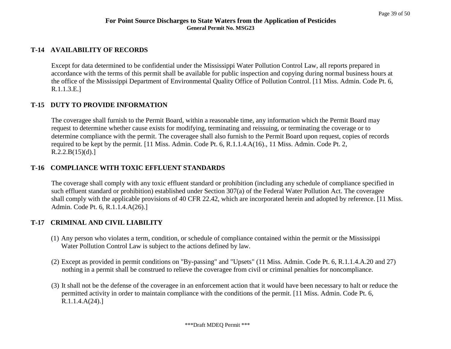#### **T-14 AVAILABILITY OF RECORDS**

Except for data determined to be confidential under the Mississippi Water Pollution Control Law, all reports prepared in accordance with the terms of this permit shall be available for public inspection and copying during normal business hours at the office of the Mississippi Department of Environmental Quality Office of Pollution Control. [11 Miss. Admin. Code Pt. 6, R.1.1.3.E.]

#### **T-15 DUTY TO PROVIDE INFORMATION**

The coveragee shall furnish to the Permit Board, within a reasonable time, any information which the Permit Board may request to determine whether cause exists for modifying, terminating and reissuing, or terminating the coverage or to determine compliance with the permit. The coveragee shall also furnish to the Permit Board upon request, copies of records required to be kept by the permit. [11 Miss. Admin. Code Pt. 6, R.1.1.4.A(16)., 11 Miss. Admin. Code Pt. 2,  $R.2.2.B(15)(d).]$ 

#### **T-16 COMPLIANCE WITH TOXIC EFFLUENT STANDARDS**

The coverage shall comply with any toxic effluent standard or prohibition (including any schedule of compliance specified in such effluent standard or prohibition) established under Section 307(a) of the Federal Water Pollution Act. The coveragee shall comply with the applicable provisions of 40 CFR 22.42, which are incorporated herein and adopted by reference. [11 Miss. Admin. Code Pt. 6, R.1.1.4.A(26).]

#### **T-17 CRIMINAL AND CIVIL LIABILITY**

- (1) Any person who violates a term, condition, or schedule of compliance contained within the permit or the Mississippi Water Pollution Control Law is subject to the actions defined by law.
- (2) Except as provided in permit conditions on "By-passing" and "Upsets" (11 Miss. Admin. Code Pt. 6, R.1.1.4.A.20 and 27) nothing in a permit shall be construed to relieve the coveragee from civil or criminal penalties for noncompliance.
- (3) It shall not be the defense of the coveragee in an enforcement action that it would have been necessary to halt or reduce the permitted activity in order to maintain compliance with the conditions of the permit. [11 Miss. Admin. Code Pt. 6, R.1.1.4.A(24).]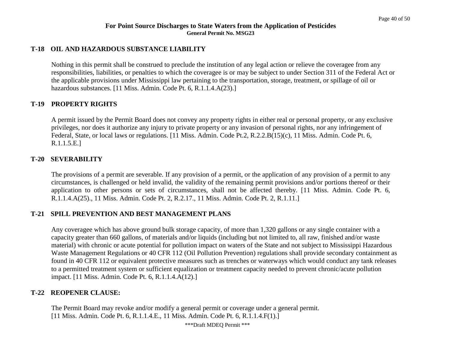#### **T-18 OIL AND HAZARDOUS SUBSTANCE LIABILITY**

Nothing in this permit shall be construed to preclude the institution of any legal action or relieve the coveragee from any responsibilities, liabilities, or penalties to which the coveragee is or may be subject to under Section 311 of the Federal Act or the applicable provisions under Mississippi law pertaining to the transportation, storage, treatment, or spillage of oil or hazardous substances. [11 Miss. Admin. Code Pt. 6, R.1.1.4.A(23).]

#### **T-19 PROPERTY RIGHTS**

A permit issued by the Permit Board does not convey any property rights in either real or personal property, or any exclusive privileges, nor does it authorize any injury to private property or any invasion of personal rights, nor any infringement of Federal, State, or local laws or regulations. [11 Miss. Admin. Code Pt.2, R.2.2.B(15)(c), 11 Miss. Admin. Code Pt. 6, R.1.1.5.E.]

#### **T-20 SEVERABILITY**

The provisions of a permit are severable. If any provision of a permit, or the application of any provision of a permit to any circumstances, is challenged or held invalid, the validity of the remaining permit provisions and/or portions thereof or their application to other persons or sets of circumstances, shall not be affected thereby. [11 Miss. Admin. Code Pt. 6, R.1.1.4.A(25)., 11 Miss. Admin. Code Pt. 2, R.2.17., 11 Miss. Admin. Code Pt. 2, R.1.11.]

#### **T-21 SPILL PREVENTION AND BEST MANAGEMENT PLANS**

Any coveragee which has above ground bulk storage capacity, of more than 1,320 gallons or any single container with a capacity greater than 660 gallons, of materials and/or liquids (including but not limited to, all raw, finished and/or waste material) with chronic or acute potential for pollution impact on waters of the State and not subject to Mississippi Hazardous Waste Management Regulations or 40 CFR 112 (Oil Pollution Prevention) regulations shall provide secondary containment as found in 40 CFR 112 or equivalent protective measures such as trenches or waterways which would conduct any tank releases to a permitted treatment system or sufficient equalization or treatment capacity needed to prevent chronic/acute pollution impact. [11 Miss. Admin. Code Pt. 6, R.1.1.4.A(12).]

#### **T-22 REOPENER CLAUSE:**

The Permit Board may revoke and/or modify a general permit or coverage under a general permit. [11 Miss. Admin. Code Pt. 6, R.1.1.4.E., 11 Miss. Admin. Code Pt. 6, R.1.1.4.F(1).]

\*\*\*Draft MDEQ Permit \*\*\*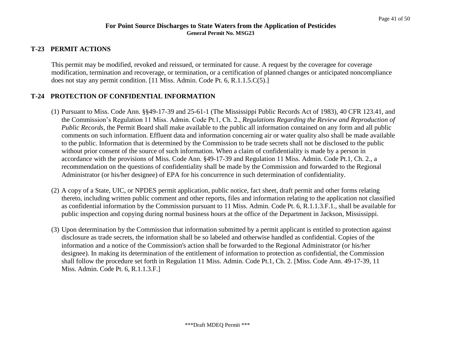# **T-23 PERMIT ACTIONS**

This permit may be modified, revoked and reissued, or terminated for cause. A request by the coveragee for coverage modification, termination and recoverage, or termination, or a certification of planned changes or anticipated noncompliance does not stay any permit condition. [11 Miss. Admin. Code Pt. 6, R.1.1.5.C(5).]

# **T-24 PROTECTION OF CONFIDENTIAL INFORMATION**

- (1) Pursuant to Miss. Code Ann. §§49-17-39 and 25-61-1 (The Mississippi Public Records Act of 1983), 40 CFR 123.41, and the Commission's Regulation 11 Miss. Admin. Code Pt.1, Ch. 2., *Regulations Regarding the Review and Reproduction of Public Records,* the Permit Board shall make available to the public all information contained on any form and all public comments on such information. Effluent data and information concerning air or water quality also shall be made available to the public. Information that is determined by the Commission to be trade secrets shall not be disclosed to the public without prior consent of the source of such information. When a claim of confidentiality is made by a person in accordance with the provisions of Miss. Code Ann. §49-17-39 and Regulation 11 Miss. Admin. Code Pt.1, Ch. 2., a recommendation on the questions of confidentiality shall be made by the Commission and forwarded to the Regional Administrator (or his/her designee) of EPA for his concurrence in such determination of confidentiality.
- (2) A copy of a State, UIC, or NPDES permit application, public notice, fact sheet, draft permit and other forms relating thereto, including written public comment and other reports, files and information relating to the application not classified as confidential information by the Commission pursuant to 11 Miss. Admin. Code Pt. 6, R.1.1.3.F.1., shall be available for public inspection and copying during normal business hours at the office of the Department in Jackson, Mississippi.
- (3) Upon determination by the Commission that information submitted by a permit applicant is entitled to protection against disclosure as trade secrets, the information shall be so labeled and otherwise handled as confidential. Copies of the information and a notice of the Commission's action shall be forwarded to the Regional Administrator (or his/her designee). In making its determination of the entitlement of information to protection as confidential, the Commission shall follow the procedure set forth in Regulation 11 Miss. Admin. Code Pt.1, Ch. 2. [Miss. Code Ann. 49-17-39, 11 Miss. Admin. Code Pt. 6, R.1.1.3.F.]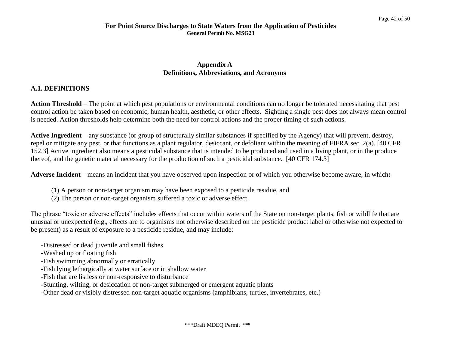#### **Appendix A Definitions, Abbreviations, and Acronyms**

## **A.1. DEFINITIONS**

**Action Threshold** – The point at which pest populations or environmental conditions can no longer be tolerated necessitating that pest control action be taken based on economic, human health, aesthetic, or other effects. Sighting a single pest does not always mean control is needed. Action thresholds help determine both the need for control actions and the proper timing of such actions.

**Active Ingredient –** any substance (or group of structurally similar substances if specified by the Agency) that will prevent, destroy, repel or mitigate any pest, or that functions as a plant regulator, desiccant, or defoliant within the meaning of FIFRA sec. 2(a). [40 CFR 152.3] Active ingredient also means a pesticidal substance that is intended to be produced and used in a living plant, or in the produce thereof, and the genetic material necessary for the production of such a pesticidal substance. [40 CFR 174.3]

**Adverse Incident** – means an incident that you have observed upon inspection or of which you otherwise become aware, in which**:**

- (1) A person or non-target organism may have been exposed to a pesticide residue, and
- (2) The person or non-target organism suffered a toxic or adverse effect.

The phrase "toxic or adverse effects" includes effects that occur within waters of the State on non-target plants, fish or wildlife that are unusual or unexpected (e.g., effects are to organisms not otherwise described on the pesticide product label or otherwise not expected to be present) as a result of exposure to a pesticide residue, and may include:

- -Distressed or dead juvenile and small fishes
- -Washed up or floating fish
- -Fish swimming abnormally or erratically
- -Fish lying lethargically at water surface or in shallow water
- -Fish that are listless or non-responsive to disturbance
- -Stunting, wilting, or desiccation of non-target submerged or emergent aquatic plants

-Other dead or visibly distressed non-target aquatic organisms (amphibians, turtles, invertebrates, etc.)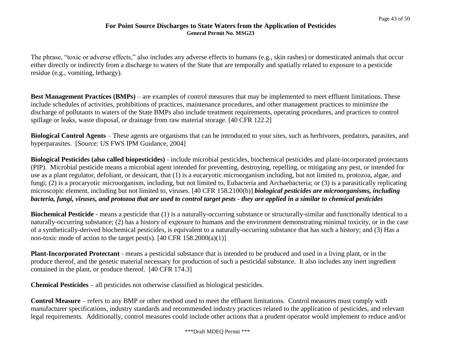The phrase, "toxic or adverse effects," also includes any adverse effects to humans (e.g., skin rashes) or domesticated animals that occur either directly or indirectly from a discharge to waters of the State that are temporally and spatially related to exposure to a pesticide residue (e.g., vomiting, lethargy).

**Best Management Practices (BMPs)** – are examples of control measures that may be implemented to meet effluent limitations. These include schedules of activities, prohibitions of practices, maintenance procedures, and other management practices to minimize the discharge of pollutants to waters of the State BMPs also include treatment requirements, operating procedures, and practices to control spillage or leaks, waste disposal, or drainage from raw material storage. [40 CFR 122.2]

**Biological Control Agents** – These agents are organisms that can be introduced to your sites, such as herbivores, predators, parasites, and hyperparasites. [Source: US FWS IPM Guidance, 2004]

**Biological Pesticides (also called biopesticides)** - include microbial pesticides, biochemical pesticides and plant-incorporated protectants (PIP). Microbial pesticide means a microbial agent intended for preventing, destroying, repelling, or mitigating any pest, or intended for use as a plant regulator, defoliant, or dessicant, that (1) is a eucaryotic microorganism including, but not limited to, protozoa, algae, and fungi; (2) is a procaryotic microorganism, including, but not limited to, Eubacteria and Archaebacteria; or (3) is a parasitically replicating microscopic element, including but not limited to, viruses. [40 CFR 158.2100(b)] *biological pesticides are microorganisms, including bacteria, fungi, viruses, and protozoa that are used to control target pests - they are applied in a similar to chemical pesticides*

**Biochemical Pesticide** - means a pesticide that (1) is a naturally-occurring substance or structurally-similar and functionally identical to a naturally-occurring substance; (2) has a history of exposure to humans and the environment demonstrating minimal toxicity, or in the case of a synthetically-derived biochemical pesticides, is equivalent to a naturally-occurring substance that has such a history; and (3) Has a non-toxic mode of action to the target pest(s).  $[40 \text{ CFR } 158.2000(a)(1)]$ 

**Plant-Incorporated Protectant** - means a pesticidal substance that is intended to be produced and used in a living plant, or in the produce thereof, and the genetic material necessary for production of such a pesticidal substance. It also includes any inert ingredient contained in the plant, or produce thereof. [40 CFR 174.3]

**Chemical Pesticides** – all pesticides not otherwise classified as biological pesticides.

**Control Measure** – refers to any BMP or other method used to meet the effluent limitations. Control measures must comply with manufacturer specifications, industry standards and recommended industry practices related to the application of pesticides, and relevant legal requirements. Additionally, control measures could include other actions that a prudent operator would implement to reduce and/or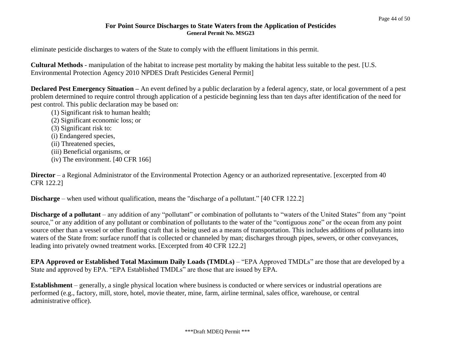eliminate pesticide discharges to waters of the State to comply with the effluent limitations in this permit.

**Cultural Methods** - manipulation of the habitat to increase pest mortality by making the habitat less suitable to the pest. [U.S. Environmental Protection Agency 2010 NPDES Draft Pesticides General Permit]

**Declared Pest Emergency Situation –** An event defined by a public declaration by a federal agency, state, or local government of a pest problem determined to require control through application of a pesticide beginning less than ten days after identification of the need for pest control. This public declaration may be based on:

- (1) Significant risk to human health;
- (2) Significant economic loss; or
- (3) Significant risk to:
- (i) Endangered species,
- (ii) Threatened species,
- (iii) Beneficial organisms, or
- (iv) The environment. [40 CFR 166]

**Director** – a Regional Administrator of the Environmental Protection Agency or an authorized representative. [excerpted from 40 CFR 122.2]

**Discharge** – when used without qualification, means the "discharge of a pollutant." [40 CFR 122.2]

**Discharge of a pollutant** – any addition of any "pollutant" or combination of pollutants to "waters of the United States" from any "point" source," or any addition of any pollutant or combination of pollutants to the water of the "contiguous zone" or the ocean from any point source other than a vessel or other floating craft that is being used as a means of transportation. This includes additions of pollutants into waters of the State from: surface runoff that is collected or channeled by man; discharges through pipes, sewers, or other conveyances, leading into privately owned treatment works. [Excerpted from 40 CFR 122.2]

**EPA Approved or Established Total Maximum Daily Loads (TMDLs)** – "EPA Approved TMDLs" are those that are developed by a State and approved by EPA. "EPA Established TMDLs" are those that are issued by EPA.

**Establishment** – generally, a single physical location where business is conducted or where services or industrial operations are performed (e.g., factory, mill, store, hotel, movie theater, mine, farm, airline terminal, sales office, warehouse, or central administrative office).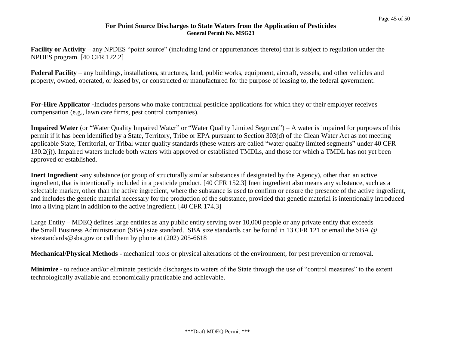**Facility or Activity** – any NPDES "point source" (including land or appurtenances thereto) that is subject to regulation under the NPDES program. [40 CFR 122.2]

**Federal Facility** – any buildings, installations, structures, land, public works, equipment, aircraft, vessels, and other vehicles and property, owned, operated, or leased by, or constructed or manufactured for the purpose of leasing to, the federal government.

**For-Hire Applicator -**Includes persons who make contractual pesticide applications for which they or their employer receives compensation (e.g., lawn care firms, pest control companies).

**Impaired Water** (or "Water Quality Impaired Water" or "Water Quality Limited Segment") – A water is impaired for purposes of this permit if it has been identified by a State, Territory, Tribe or EPA pursuant to Section 303(d) of the Clean Water Act as not meeting applicable State, Territorial, or Tribal water quality standards (these waters are called "water quality limited segments" under 40 CFR 130.2(j)). Impaired waters include both waters with approved or established TMDLs, and those for which a TMDL has not yet been approved or established.

**Inert Ingredient -**any substance (or group of structurally similar substances if designated by the Agency), other than an active ingredient, that is intentionally included in a pesticide product. [40 CFR 152.3] Inert ingredient also means any substance, such as a selectable marker, other than the active ingredient, where the substance is used to confirm or ensure the presence of the active ingredient, and includes the genetic material necessary for the production of the substance, provided that genetic material is intentionally introduced into a living plant in addition to the active ingredient. [40 CFR 174.3]

Large Entity – MDEQ defines large entities as any public entity serving over 10,000 people or any private entity that exceeds the Small Business Administration (SBA) size standard. SBA size standards can be found in 13 CFR 121 or email the SBA @ sizestandards@sba.gov or call them by phone at (202) 205-6618

**Mechanical/Physical Methods** - mechanical tools or physical alterations of the environment, for pest prevention or removal.

**Minimize -** to reduce and/or eliminate pesticide discharges to waters of the State through the use of "control measures" to the extent technologically available and economically practicable and achievable.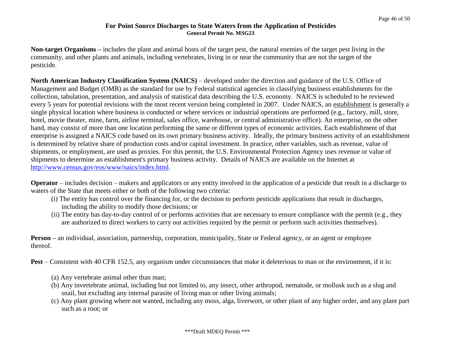**Non-target Organisms –** includes the plant and animal hosts of the target pest, the natural enemies of the target pest living in the community, and other plants and animals, including vertebrates, living in or near the community that are not the target of the pesticide.

**North American Industry Classification System (NAICS)** – developed under the direction and guidance of the U.S. Office of Management and Budget (OMB) as the standard for use by Federal statistical agencies in classifying business establishments for the collection, tabulation, presentation, and analysis of statistical data describing the U.S. economy. NAICS is scheduled to be reviewed every 5 years for potential revisions with the most recent version being completed in 2007. Under NAICS, an establishment is generally a single physical location where business is conducted or where services or industrial operations are performed (e.g., factory, mill, store, hotel, movie theater, mine, farm, airline terminal, sales office, warehouse, or central administrative office). An enterprise, on the other hand, may consist of more than one location performing the same or different types of economic activities. Each establishment of that enterprise is assigned a NAICS code based on its own primary business activity. Ideally, the primary business activity of an establishment is determined by relative share of production costs and/or capital investment. In practice, other variables, such as revenue, value of shipments, or employment, are used as proxies. For this permit, the U.S. Environmental Protection Agency uses revenue or value of shipments to determine an establishment's primary business activity. Details of NAICS are available on the Internet at [http://www.census.gov/eos/www/naics/index.html.](http://www.census.gov/eos/www/naics/index.html)

**Operator** – includes decision – makers and applicators or any entity involved in the application of a pesticide that result in a discharge to waters of the State that meets either or both of the following two criteria:

- (i) The entity has control over the financing for, or the decision to perform pesticide applications that result in discharges, including the ability to modify those decisions; or
- (ii) The entity has day-to-day control of or performs activities that are necessary to ensure compliance with the permit (e.g., they are authorized to direct workers to carry out activities required by the permit or perform such activities themselves).

**Person –** an individual, association, partnership, corporation, municipality, State or Federal agency, or an agent or employee thereof.

**Pest** – Consistent with 40 CFR 152.5, any organism under circumstances that make it deleterious to man or the environment, if it is:

- (a) Any vertebrate animal other than man;
- (b) Any invertebrate animal, including but not limited to, any insect, other arthropod, nematode, or mollusk such as a slug and snail, but excluding any internal parasite of living man or other living animals;
- (c) Any plant growing where not wanted, including any moss, alga, liverwort, or other plant of any higher order, and any plant part such as a root; or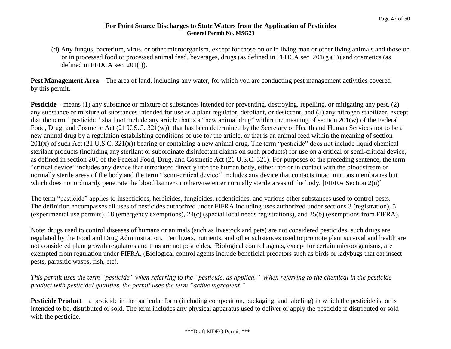(d) Any fungus, bacterium, virus, or other microorganism, except for those on or in living man or other living animals and those on or in processed food or processed animal feed, beverages, drugs (as defined in FFDCA sec.  $201(g(1))$ ) and cosmetics (as defined in FFDCA sec. 201(i)).

**Pest Management Area** – The area of land, including any water, for which you are conducting pest management activities covered by this permit.

**Pesticide** – means (1) any substance or mixture of substances intended for preventing, destroying, repelling, or mitigating any pest, (2) any substance or mixture of substances intended for use as a plant regulator, defoliant, or desiccant, and (3) any nitrogen stabilizer, except that the term ''pesticide'' shall not include any article that is a "new animal drug" within the meaning of section 201(w) of the Federal Food, Drug, and Cosmetic Act (21 U.S.C. 321(w)), that has been determined by the Secretary of Health and Human Services not to be a new animal drug by a regulation establishing conditions of use for the article, or that is an animal feed within the meaning of section  $201(x)$  of such Act (21 U.S.C. 321(x)) bearing or containing a new animal drug. The term "pesticide" does not include liquid chemical sterilant products (including any sterilant or subordinate disinfectant claims on such products) for use on a critical or semi-critical device, as defined in section 201 of the Federal Food, Drug, and Cosmetic Act (21 U.S.C. 321). For purposes of the preceding sentence, the term "critical device" includes any device that introduced directly into the human body, either into or in contact with the bloodstream or normally sterile areas of the body and the term "semi-critical device" includes any device that contacts intact mucous membranes but which does not ordinarily penetrate the blood barrier or otherwise enter normally sterile areas of the body. [FIFRA Section 2(u)]

The term "pesticide" applies to insecticides, herbicides, fungicides, rodenticides, and various other substances used to control pests. The definition encompasses all uses of pesticides authorized under FIFRA including uses authorized under sections 3 (registration), 5 (experimental use permits), 18 (emergency exemptions), 24(c) (special local needs registrations), and 25(b) (exemptions from FIFRA).

Note: drugs used to control diseases of humans or animals (such as livestock and pets) are not considered pesticides; such drugs are regulated by the Food and Drug Administration. Fertilizers, nutrients, and other substances used to promote plant survival and health are not considered plant growth regulators and thus are not pesticides. Biological control agents, except for certain microorganisms, are exempted from regulation under FIFRA. (Biological control agents include beneficial predators such as birds or ladybugs that eat insect pests, parasitic wasps, fish, etc).

*This permit uses the term "pesticide" when referring to the "pesticide, as applied." When referring to the chemical in the pesticide product with pesticidal qualities, the permit uses the term "active ingredient."*

**Pesticide Product** – a pesticide in the particular form (including composition, packaging, and labeling) in which the pesticide is, or is intended to be, distributed or sold. The term includes any physical apparatus used to deliver or apply the pesticide if distributed or sold with the pesticide.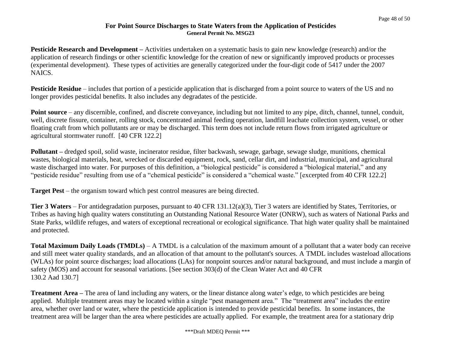**Pesticide Research and Development** – Activities undertaken on a systematic basis to gain new knowledge (research) and/or the application of research findings or other scientific knowledge for the creation of new or significantly improved products or processes (experimental development). These types of activities are generally categorized under the four-digit code of 5417 under the 2007 NAICS.

**Pesticide Residue** – includes that portion of a pesticide application that is discharged from a point source to waters of the US and no longer provides pesticidal benefits. It also includes any degradates of the pesticide.

**Point source** – any discernible, confined, and discrete conveyance, including but not limited to any pipe, ditch, channel, tunnel, conduit, well, discrete fissure, container, rolling stock, concentrated animal feeding operation, landfill leachate collection system, vessel, or other floating craft from which pollutants are or may be discharged. This term does not include return flows from irrigated agriculture or agricultural stormwater runoff. [40 CFR 122.2]

**Pollutant –** dredged spoil, solid waste, incinerator residue, filter backwash, sewage, garbage, sewage sludge, munitions, chemical wastes, biological materials, heat, wrecked or discarded equipment, rock, sand, cellar dirt, and industrial, municipal, and agricultural waste discharged into water. For purposes of this definition, a "biological pesticide" is considered a "biological material," and any "pesticide residue" resulting from use of a "chemical pesticide" is considered a "chemical waste." [excerpted from 40 CFR 122.2]

**Target Pest** – the organism toward which pest control measures are being directed.

**Tier 3 Waters** – For antidegradation purposes, pursuant to 40 CFR 131.12(a)(3), Tier 3 waters are identified by States, Territories, or Tribes as having high quality waters constituting an Outstanding National Resource Water (ONRW), such as waters of National Parks and State Parks, wildlife refuges, and waters of exceptional recreational or ecological significance. That high water quality shall be maintained and protected.

**Total Maximum Daily Loads (TMDLs)** – A TMDL is a calculation of the maximum amount of a pollutant that a water body can receive and still meet water quality standards, and an allocation of that amount to the pollutant's sources. A TMDL includes wasteload allocations (WLAs) for point source discharges; load allocations (LAs) for nonpoint sources and/or natural background, and must include a margin of safety (MOS) and account for seasonal variations. [See section 303(d) of the Clean Water Act and 40 CFR 130.2 Aad 130.7]

**Treatment Area –** The area of land including any waters, or the linear distance along water's edge, to which pesticides are being applied. Multiple treatment areas may be located within a single "pest management area." The "treatment area" includes the entire area, whether over land or water, where the pesticide application is intended to provide pesticidal benefits. In some instances, the treatment area will be larger than the area where pesticides are actually applied. For example, the treatment area for a stationary drip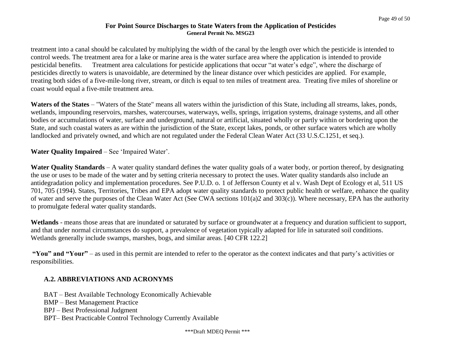treatment into a canal should be calculated by multiplying the width of the canal by the length over which the pesticide is intended to control weeds. The treatment area for a lake or marine area is the water surface area where the application is intended to provide pesticidal benefits. Treatment area calculations for pesticide applications that occur "at water's edge", where the discharge of pesticides directly to waters is unavoidable, are determined by the linear distance over which pesticides are applied. For example, treating both sides of a five-mile-long river, stream, or ditch is equal to ten miles of treatment area. Treating five miles of shoreline or coast would equal a five-mile treatment area.

**Waters of the States** – "Waters of the State" means all waters within the jurisdiction of this State, including all streams, lakes, ponds, wetlands, impounding reservoirs, marshes, watercourses, waterways, wells, springs, irrigation systems, drainage systems, and all other bodies or accumulations of water, surface and underground, natural or artificial, situated wholly or partly within or bordering upon the State, and such coastal waters as are within the jurisdiction of the State, except lakes, ponds, or other surface waters which are wholly landlocked and privately owned, and which are not regulated under the Federal Clean Water Act (33 U.S.C.1251, et seq.).

**Water Quality Impaired** – See 'Impaired Water'.

**Water Quality Standards** – A water quality standard defines the water quality goals of a water body, or portion thereof, by designating the use or uses to be made of the water and by setting criteria necessary to protect the uses. Water quality standards also include an antidegradation policy and implementation procedures. See P.U.D. o. 1 of Jefferson County et al v. Wash Dept of Ecology et al, 511 US 701, 705 (1994). States, Territories, Tribes and EPA adopt water quality standards to protect public health or welfare, enhance the quality of water and serve the purposes of the Clean Water Act (See CWA sections 101(a)2 and 303(c)). Where necessary, EPA has the authority to promulgate federal water quality standards.

**Wetlands** - means those areas that are inundated or saturated by surface or groundwater at a frequency and duration sufficient to support, and that under normal circumstances do support, a prevalence of vegetation typically adapted for life in saturated soil conditions. Wetlands generally include swamps, marshes, bogs, and similar areas. [40 CFR 122.2]

**"You" and "Your"** – as used in this permit are intended to refer to the operator as the context indicates and that party's activities or responsibilities.

#### **A.2. ABBREVIATIONS AND ACRONYMS**

BAT – Best Available Technology Economically Achievable BMP – Best Management Practice BPJ – Best Professional Judgment BPT– Best Practicable Control Technology Currently Available